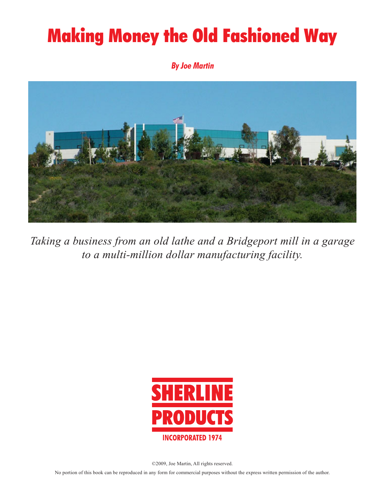# **Making Money the Old Fashioned Way**

**By Joe Martin**



*Taking a business from an old lathe and a Bridgeport mill in a garage to a multi-million dollar manufacturing facility.*



©2009, Joe Martin, All rights reserved.

No portion of this book can be reproduced in any form for commercial purposes without the express written permission of the author.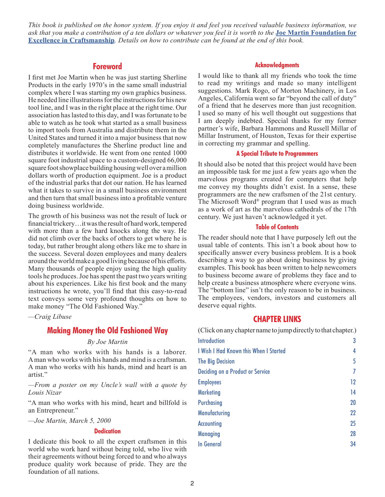*This book is published on the honor system. If you enjoy it and feel you received valuable business information, we ask that you make a contribution of a ten dollars or whatever you feel it is worth to the* **[Joe Martin Foundation for](http://www.craftsmanshipmuseum.com/jmfound.htm)  [Excellence in Craftsmanship](http://www.craftsmanshipmuseum.com/jmfound.htm)***. Details on how to contribute can be found at the end of this book.*

# **Foreword**

I first met Joe Martin when he was just starting Sherline Products in the early 1970's in the same small industrial complex where I was starting my own graphics business. He needed line illustrations for the instructions for his new tool line, and I was in the right place at the right time. Our association has lasted to this day, and I was fortunate to be able to watch as he took what started as a small business to import tools from Australia and distribute them in the United States and turned it into a major business that now completely manufactures the Sherline product line and distributes it worldwide. He went from one rented 1000 square foot industrial space to a custom-designed 66,000 square foot showplace building housing well over a million dollars worth of production equipment. Joe is a product of the industrial parks that dot our nation. He has learned what it takes to survive in a small business environment and then turn that small business into a profitable venture doing business worldwide.

The growth of his business was not the result of luck or financial trickery…it was the result of hard work, tempered with more than a few hard knocks along the way. He did not climb over the backs of others to get where he is today, but rather brought along others like me to share in the success. Several dozen employees and many dealers around the world make a good living because of his efforts. Many thousands of people enjoy using the high quality tools he produces. Joe has spent the past two years writing about his experiences. Like his first book and the many instructions he wrote, you'll find that this easy-to-read text conveys some very profound thoughts on how to make money "The Old Fashioned Way."

*—Craig Libuse*

# **Making Money the Old Fashioned Way**

# *By Joe Martin*

"A man who works with his hands is a laborer. A man who works with his hands and mind is a craftsman. A man who works with his hands, mind and heart is an artist."

*—From a poster on my Uncle's wall with a quote by Louis Nizar*

"A man who works with his mind, heart and billfold is an Entrepreneur."

*—Joe Martin, March 5, 2000*

# **Dedication**

I dedicate this book to all the expert craftsmen in this world who work hard without being told, who live with their agreements without being forced to and who always produce quality work because of pride. They are the foundation of all nations.

# **Acknowledgments**

I would like to thank all my friends who took the time to read my writings and made so many intelligent suggestions. Mark Rogo, of Morton Machinery, in Los Angeles, California went so far "beyond the call of duty" of a friend that he deserves more than just recognition. I used so many of his well thought out suggestions that I am deeply indebted. Special thanks for my former partner's wife, Barbara Hammons and Russell Millar of Millar Instrument, of Houston, Texas for their expertise in correcting my grammar and spelling.

# **A Special Tribute to Programmers**

It should also be noted that this project would have been an impossible task for me just a few years ago when the marvelous programs created for computers that help me convey my thoughts didn't exist. In a sense, these programmers are the new craftsmen of the 21st century. The Microsoft Word® program that I used was as much as a work of art as the marvelous cathedrals of the 17th century. We just haven't acknowledged it yet.

# **Table of Contents**

The reader should note that I have purposely left out the usual table of contents. This isn't a book about how to specifically answer every business problem. It is a book describing a way to go about doing business by giving examples. This book has been written to help newcomers to business become aware of problems they face and to help create a business atmosphere where everyone wins. The "bottom line" isn't the only reason to be in business. The employees, vendors, investors and customers all deserve equal rights.

# **CHAPTER LINKS**

(Click on any chapter name to jump directly to that chapter.) **[Introduction](#page-2-0)** 3

| I Wish I Had Known this When I Started | 4  |
|----------------------------------------|----|
| <b>The Big Decision</b>                | 5  |
| Deciding on a Product or Service       | 7  |
| <b>Employees</b>                       | 12 |
| <b>Marketing</b>                       | 14 |
| <b>Purchasing</b>                      | 20 |
| <b>Manufacturing</b>                   | 22 |
| <b>Accounting</b>                      | 25 |
| <b>Managing</b>                        | 28 |
| <b>In General</b>                      | 34 |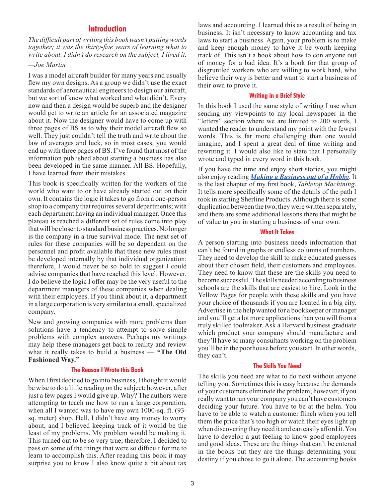# **Introduction**

<span id="page-2-0"></span>*The difficult part of writing this book wasn't putting words together; it was the thirty-five years of learning what to write about. I didn't do research on the subject, I lived it.* 

# *—Joe Martin*

I was a model aircraft builder for many years and usually flew my own designs. As a group we didn't use the exact standards of aeronautical engineers to design our aircraft, but we sort of knew what worked and what didn't. Every now and then a design would be superb and the designer would get to write an article for an associated magazine about it. Now the designer would have to come up with three pages of BS as to why their model aircraft flew so well. They just couldn't tell the truth and write about the law of averages and luck, so in most cases, you would end up with three pages of BS. I've found that most of the information published about starting a business has also been developed in the same manner. All BS. Hopefully, I have learned from their mistakes.

This book is specifically written for the workers of the world who want to or have already started out on their own. It contains the logic it takes to go from a one-person shop to a company that requires several departments; with each department having an individual manager. Once this plateau is reached a different set of rules come into play that will be closer to standard business practices. No longer is the company in a true survival mode. The next set of rules for these companies will be so dependent on the personnel and profit available that these new rules must be developed internally by that individual organization; therefore, I would never be so bold to suggest I could advise companies that have reached this level. However, I do believe the logic I offer may be the very useful to the department managers of these companies when dealing with their employees. If you think about it, a department in a large corporation is very similar to a small, specialized company.

New and growing companies with more problems than solutions have a tendency to attempt to solve simple problems with complex answers. Perhaps my writings may help these managers get back to reality and review what it really takes to build a business — **"The Old Fashioned Way."** 

# **The Reason I Wrote this Book**

When I first decided to go into business, I thought it would be wise to do a little reading on the subject; however, after just a few pages I would give up. Why? The authors were attempting to teach me how to run a large corporation, when all I wanted was to have my own 1000-sq. ft. (93 sq. meter) shop. Hell, I didn't have any money to worry about, and I believed keeping track of it would be the least of my problems. My problem would be making it. This turned out to be so very true; therefore, I decided to pass on some of the things that were so difficult for me to learn to accomplish this. After reading this book it may surprise you to know I also know quite a bit about tax laws and accounting. I learned this as a result of being in business. It isn't necessary to know accounting and tax laws to start a business. Again, your problem is to make and keep enough money to have it be worth keeping track of. This isn't a book about how to con anyone out of money for a bad idea. It's a book for that group of disgruntled workers who are willing to work hard, who believe their way is better and want to start a business of their own to prove it.

#### **Writing in a Brief Style**

In this book I used the same style of writing I use when sending my viewpoints to my local newspaper in the "letters" section where we are limited to 200 words. I wanted the reader to understand my point with the fewest words. This is far more challenging than one would imagine, and I spent a great deal of time writing and rewriting it. I would also like to state that I personally wrote and typed in every word in this book.

If you have the time and enjoy short stories, you might also enjoy reading *[Making a Business out of a Hobby](https://sherline.com/Wordpress/wp-content/uploads/2018/04/hobby_chapter_web.pdf)*. It is the last chapter of my first book, *Tabletop Machining*. It tells more specifically some of the details of the path I took in starting Sherline Products. Although there is some duplication between the two, they were written separately, and there are some additional lessons there that might be of value to you in starting a business of your own.

#### **What It Takes**

A person starting into business needs information that can't be found in graphs or endless columns of numbers. They need to develop the skill to make educated guesses about their chosen field, their customers and employees. They need to know that these are the skills you need to become successful. The skills needed according to business schools are the skills that are easiest to hire. Look in the Yellow Pages for people with these skills and you have your choice of thousands if you are located in a big city. Advertise in the help wanted for a bookkeeper or manager and you'll get a lot more applications than you will from a truly skilled toolmaker. Ask a Harvard business graduate which product your company should manufacture and they'll have so many consultants working on the problem you'll be in the poorhouse before you start. In other words, they can't.

#### **The Skills You Need**

The skills you need are what to do next without anyone telling you. Sometimes this is easy because the demands of your customers eliminate the problem; however, if you really want to run your company you can't have customers deciding your future. You have to be at the helm. You have to be able to watch a customer flinch when you tell them the price that's too high or watch their eyes light up when discovering they need it and can easily afford it. You have to develop a gut feeling to know good employees and good ideas. These are the things that can't be entered in the books but they are the things determining your destiny if you chose to go it alone. The accounting books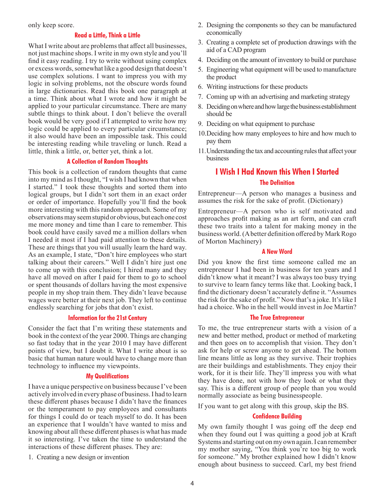<span id="page-3-0"></span>only keep score.

# **Read a Little, Think a Little**

What I write about are problems that affect all businesses, not just machine shops. I write in my own style and you'll find it easy reading. I try to write without using complex or excess words, somewhat like a good design that doesn't use complex solutions. I want to impress you with my logic in solving problems, not the obscure words found in large dictionaries. Read this book one paragraph at a time. Think about what I wrote and how it might be applied to your particular circumstance. There are many subtle things to think about. I don't believe the overall book would be very good if I attempted to write how my logic could be applied to every particular circumstance; it also would have been an impossible task. This could be interesting reading while traveling or lunch. Read a little, think a little, or, better yet, think a lot.

# **A Collection of Random Thoughts**

This book is a collection of random thoughts that came into my mind as I thought, "I wish I had known that when I started." I took these thoughts and sorted them into logical groups, but I didn't sort them in an exact order or order of importance. Hopefully you'll find the book more interesting with this random approach. Some of my observations may seem stupid or obvious, but each one cost me more money and time than I care to remember. This book could have easily saved me a million dollars when I needed it most if I had paid attention to these details. These are things that you will usually learn the hard way. As an example, I state, "Don't hire employees who start talking about their careers." Well I didn't hire just one to come up with this conclusion; I hired many and they have all moved on after I paid for them to go to school or spent thousands of dollars having the most expensive people in my shop train them. They didn't leave because wages were better at their next job. They left to continue endlessly searching for jobs that don't exist.

# **Information for the 21st Century**

Consider the fact that I'm writing these statements and book in the context of the year 2000. Things are changing so fast today that in the year 2010 I may have different points of view, but I doubt it. What I write about is so basic that human nature would have to change more than technology to influence my viewpoints.

# **My Qualifications**

I have a unique perspective on business because I've been actively involved in every phase of business. I had to learn these different phases because I didn't have the finances or the temperament to pay employees and consultants for things I could do or teach myself to do. It has been an experience that I wouldn't have wanted to miss and knowing about all these different phases is what has made it so interesting. I've taken the time to understand the interactions of these different phases. They are:

1. Creating a new design or invention

- 2. Designing the components so they can be manufactured economically
- 3. Creating a complete set of production drawings with the aid of a CAD program
- 4. Deciding on the amount of inventory to build or purchase
- 5. Engineering what equipment will be used to manufacture the product
- 6. Writing instructions for these products
- 7. Coming up with an advertising and marketing strategy
- 8. Deciding on where and how large the business establishment should be
- 9. Deciding on what equipment to purchase
- 10.Deciding how many employees to hire and how much to pay them
- 11.Understanding the tax and accounting rules that affect your business

# **I Wish I Had Known this When I Started The Definition**

Entrepreneur—A person who manages a business and assumes the risk for the sake of profit. (Dictionary)

Entrepreneur—A person who is self motivated and approaches profit making as an art form, and can craft these two traits into a talent for making money in the business world. (A better definition offered by Mark Rogo of Morton Machinery)

# **A New Word**

Did you know the first time someone called me an entrepreneur I had been in business for ten years and I didn't know what it meant? I was always too busy trying to survive to learn fancy terms like that. Looking back, I find the dictionary doesn't accurately define it. "Assumes the risk for the sake of profit." Now that's a joke. It's like I had a choice. Who in the hell would invest in Joe Martin?

# **The True Entrepreneur**

To me, the true entrepreneur starts with a vision of a new and better method, product or method of marketing and then goes on to accomplish that vision. They don't ask for help or screw anyone to get ahead. The bottom line means little as long as they survive. Their trophies are their buildings and establishments. They enjoy their work, for it is their life. They'll impress you with what they have done, not with how they look or what they say. This is a different group of people than you would normally associate as being businesspeople.

If you want to get along with this group, skip the BS.

# **Confidence Building**

My own family thought I was going off the deep end when they found out I was quitting a good job at Kraft Systems and starting out on my own again. I can remember my mother saying, "You think you're too big to work for someone." My brother explained how I didn't know enough about business to succeed. Carl, my best friend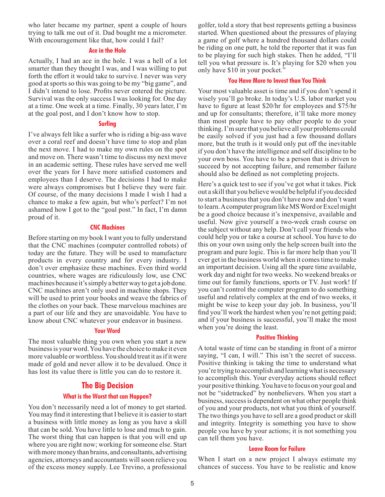<span id="page-4-0"></span>who later became my partner, spent a couple of hours trying to talk me out of it. Dad bought me a micrometer. With encouragement like that, how could I fail?

# **Ace in the Hole**

Actually, I had an ace in the hole. I was a hell of a lot smarter than they thought I was, and I was willing to put forth the effort it would take to survive. I never was very good at sports so this was going to be my "big game", and I didn't intend to lose. Profits never entered the picture. Survival was the only success I was looking for. One day at a time. One week at a time. Finally, 30 years later, I'm at the goal post, and I don't know how to stop.

# **Surfing**

I've always felt like a surfer who is riding a big-ass wave over a coral reef and doesn't have time to stop and plan the next move. I had to make my own rules on the spot and move on. There wasn't time to discuss my next move in an academic setting. These rules have served me well over the years for I have more satisfied customers and employees than I deserve. The decisions I had to make were always compromises but I believe they were fair. Of course, of the many decisions I made I wish I had a chance to make a few again, but who's perfect? I'm not ashamed how I got to the "goal post." In fact, I'm damn proud of it.

# **CNC Machines**

Before starting on my book I want you to fully understand that the CNC machines (computer controlled robots) of today are the future. They will be used to manufacture products in every country and for every industry. I don't over emphasize these machines. Even third world countries, where wages are ridiculously low, use CNC machines because it's simply a better way to get a job done. CNC machines aren't only used in machine shops. They will be used to print your books and weave the fabrics of the clothes on your back. These marvelous machines are a part of our life and they are unavoidable. You have to know about CNC whatever your endeavor in business.

# **Your Word**

The most valuable thing you own when you start a new business is your word. You have the choice to make it even more valuable or worthless. You should treat it as if it were made of gold and never allow it to be devalued. Once it has lost its value there is little you can do to restore it.

# **The Big Decision**

# **What is the Worst that can Happen?**

You don't necessarily need a lot of money to get started. You may find it interesting that I believe it is easier to start a business with little money as long as you have a skill that can be sold. You have little to lose and much to gain. The worst thing that can happen is that you will end up where you are right now; working for someone else. Start with more money than brains, and consultants, advertising agencies, attorneys and accountants will soon relieve you of the excess money supply. Lee Trevino, a professional golfer, told a story that best represents getting a business started. When questioned about the pressures of playing a game of golf where a hundred thousand dollars could be riding on one putt, he told the reporter that it was fun to be playing for such high stakes. Then he added, "I'll tell you what pressure is. It's playing for \$20 when you only have \$10 in your pocket."

# **You Have More to Invest than You Think**

Your most valuable asset is time and if you don't spend it wisely you'll go broke. In today's U.S. labor market you have to figure at least \$20/hr for employees and \$75/hr and up for consultants; therefore, it'll take more money than most people have to pay other people to do your thinking. I'm sure that you believe all your problems could be easily solved if you just had a few thousand dollars more, but the truth is it would only put off the inevitable if you don't have the intelligence and self discipline to be your own boss. You have to be a person that is driven to succeed by not accepting failure, and remember failure should also be defined as not completing projects.

Here's a quick test to see if you've got what it takes. Pick out a skill that you believe would be helpful if you decided to start a business that you don't have now and don't want to learn. A computer program like MS Word or Excel might be a good choice because it's inexpensive, available and useful. Now give yourself a two-week crash course on the subject without any help. Don't call your friends who could help you or take a course at school. You have to do this on your own using only the help screen built into the program and pure logic. This is far more help than you'll ever get in the business world when it comes time to make an important decision. Using all the spare time available, work day and night for two weeks. No weekend breaks or time out for family functions, sports or TV. Just work! If you can't control the computer program to do something useful and relatively complex at the end of two weeks, it might be wise to keep your day job. In business, you'll find you'll work the hardest when you're not getting paid; and if your business is successful, you'll make the most when you're doing the least.

# **Positive Thinking**

A total waste of time can be standing in front of a mirror saying, "I can, I will." This isn't the secret of success. Positive thinking is taking the time to understand what you're trying to accomplish and learning what is necessary to accomplish this. Your everyday actions should reflect your positive thinking. You have to focus on your goal and not be "sidetracked" by nonbelievers. When you start a business, success is dependent on what other people think of you and your products, not what you think of yourself. The two things you have to sell are a good product or skill and integrity. Integrity is something you have to show people you have by your actions; it is not something you can tell them you have.

#### **Leave Room for Failure**

When I start on a new project I always estimate my chances of success. You have to be realistic and know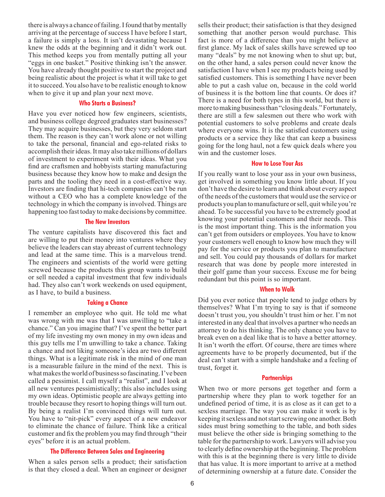there is always a chance of failing. I found that by mentally arriving at the percentage of success I have before I start, a failure is simply a loss. It isn't devastating because I knew the odds at the beginning and it didn't work out. This method keeps you from mentally putting all your "eggs in one basket." Positive thinking isn't the answer. You have already thought positive to start the project and being realistic about the project is what it will take to get it to succeed. You also have to be realistic enough to know when to give it up and plan your next move.

# **Who Starts a Business?**

Have you ever noticed how few engineers, scientists, and business college degreed graduates start businesses? They may acquire businesses, but they very seldom start them. The reason is they can't work alone or not willing to take the personal, financial and ego-related risks to accomplish their ideas. It may also take millions of dollars of investment to experiment with their ideas. What you find are craftsmen and hobbyists starting manufacturing business because they know how to make and design the parts and the tooling they need in a cost-effective way. Investors are finding that hi-tech companies can't be run without a CEO who has a complete knowledge of the technology in which the company is involved. Things are happening too fast today to make decisions by committee.

#### **The New Investors**

The venture capitalists have discovered this fact and are willing to put their money into ventures where they believe the leaders can stay abreast of current technology and lead at the same time. This is a marvelous trend. The engineers and scientists of the world were getting screwed because the products this group wants to build or sell needed a capital investment that few individuals had. They also can't work weekends on used equipment, as I have, to build a business.

### **Taking a Chance**

I remember an employee who quit. He told me what was wrong with me was that I was unwilling to "take a chance." Can you imagine that? I've spent the better part of my life investing my own money in my own ideas and this guy tells me I'm unwilling to take a chance. Taking a chance and not liking someone's idea are two different things. What is a legitimate risk in the mind of one man is a measurable failure in the mind of the next. This is what makes the world of business so fascinating. I've been called a pessimist. I call myself a "realist", and I look at all new ventures pessimistically; this also includes using my own ideas. Optimistic people are always getting into trouble because they resort to hoping things will turn out. By being a realist I'm convinced things will turn out. You have to "nit-pick" every aspect of a new endeavor to eliminate the chance of failure. Think like a critical customer and fix the problem you may find through "their eyes" before it is an actual problem.

#### **The Difference Between Sales and Engineering**

When a sales person sells a product; their satisfaction is that they closed a deal. When an engineer or designer sells their product; their satisfaction is that they designed something that another person would purchase. This fact is more of a difference than you might believe at first glance. My lack of sales skills have screwed up too many "deals" by me not knowing when to shut up; but, on the other hand, a sales person could never know the satisfaction I have when I see my products being used by satisfied customers. This is something I have never been able to put a cash value on, because in the cold world of business it is the bottom line that counts. Or does it? There is a need for both types in this world, but there is more to making business than "closing deals." Fortunately, there are still a few salesmen out there who work with potential customers to solve problems and create deals where everyone wins. It is the satisfied customers using products or a service they like that can keep a business going for the long haul, not a few quick deals where you win and the customer loses.

# **How to Lose Your Ass**

If you really want to lose your ass in your own business, get involved in something you know little about. If you don't have the desire to learn and think about every aspect of the needs of the customers that would use the service or products you plan to manufacture or sell, quit while you're ahead. To be successful you have to be extremely good at knowing your potential customers and their needs. This is the most important thing. This is the information you can't get from outsiders or employees. You have to know your customers well enough to know how much they will pay for the service or products you plan to manufacture and sell. You could pay thousands of dollars for market research that was done by people more interested in their golf game than your success. Excuse me for being redundant but this point is so important.

# **When to Walk**

Did you ever notice that people tend to judge others by themselves? What I'm trying to say is that if someone doesn't trust you, you shouldn't trust him or her. I'm not interested in any deal that involves a partner who needs an attorney to do his thinking. The only chance you have to break even on a deal like that is to have a better attorney. It isn't worth the effort. Of course, there are times where agreements have to be properly documented, but if the deal can't start with a simple handshake and a feeling of trust, forget it.

#### **Partnerships**

When two or more persons get together and form a partnership where they plan to work together for an undefined period of time, it is as close as it can get to a sexless marriage. The way you can make it work is by keeping it sexless and not start screwing one another. Both sides must bring something to the table, and both sides must believe the other side is bringing something to the table for the partnership to work. Lawyers will advise you to clearly define ownership at the beginning. The problem with this is at the beginning there is very little to divide that has value. It is more important to arrive at a method of determining ownership at a future date. Consider the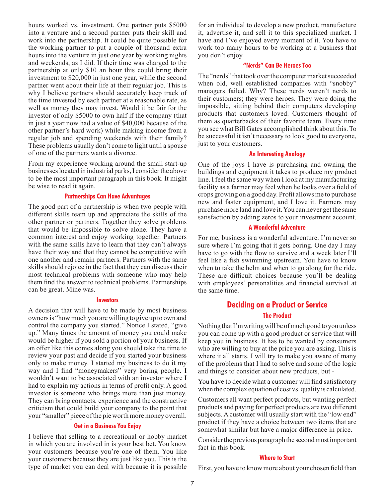<span id="page-6-0"></span>hours worked vs. investment. One partner puts \$5000 into a venture and a second partner puts their skill and work into the partnership. It could be quite possible for the working partner to put a couple of thousand extra hours into the venture in just one year by working nights and weekends, as I did. If their time was charged to the partnership at only \$10 an hour this could bring their investment to \$20,000 in just one year, while the second partner went about their life at their regular job. This is why I believe partners should accurately keep track of the time invested by each partner at a reasonable rate, as well as money they may invest. Would it be fair for the investor of only \$5000 to own half if the company (that in just a year now had a value of \$40,000 because of the other partner's hard work) while making income from a regular job and spending weekends with their family? These problems usually don't come to light until a spouse of one of the partners wants a divorce.

From my experience working around the small start-up businesses located in industrial parks, I consider the above to be the most important paragraph in this book. It might be wise to read it again.

# **Partnerships Can Have Advantages**

The good part of a partnership is when two people with different skills team up and appreciate the skills of the other partner or partners. Together they solve problems that would be impossible to solve alone. They have a common interest and enjoy working together. Partners with the same skills have to learn that they can't always have their way and that they cannot be competitive with one another and remain partners. Partners with the same skills should rejoice in the fact that they can discuss their most technical problems with someone who may help them find the answer to technical problems. Partnerships can be great. Mine was.

#### **Investors**

A decision that will have to be made by most business owners is "how much you are willing to give up to own and control the company you started." Notice I stated, "give up." Many times the amount of money you could make would be higher if you sold a portion of your business. If an offer like this comes along you should take the time to review your past and decide if you started your business only to make money. I started my business to do it my way and I find "moneymakers" very boring people. I wouldn't want to be associated with an investor where I had to explain my actions in terms of profit only. A good investor is someone who brings more than just money. They can bring contacts, experience and the constructive criticism that could build your company to the point that your "smaller" piece of the pie worth more money overall.

#### **Get in a Business You Enjoy**

I believe that selling to a recreational or hobby market in which you are involved in is your best bet. You know your customers because you're one of them. You like your customers because they are just like you. This is the type of market you can deal with because it is possible for an individual to develop a new product, manufacture it, advertise it, and sell it to this specialized market. I have and I've enjoyed every moment of it. You have to work too many hours to be working at a business that you don't enjoy.

# **"Nerds" Can Be Heroes Too**

The "nerds" that took over the computer market succeeded when old, well established companies with "snobby" managers failed. Why? These nerds weren't nerds to their customers; they were heroes. They were doing the impossible, sitting behind their computers developing products that customers loved. Customers thought of them as quarterbacks of their favorite team. Every time you see what Bill Gates accomplished think about this. To be successful it isn't necessary to look good to everyone, just to your customers.

# **An Interesting Analogy**

One of the joys I have is purchasing and owning the buildings and equipment it takes to produce my product line. I feel the same way when I look at my manufacturing facility as a farmer may feel when he looks over a field of crops growing on a good day. Profit allows me to purchase new and faster equipment, and I love it. Farmers may purchase more land and love it. You can never get the same satisfaction by adding zeros to your investment account.

# **A Wonderful Adventure**

For me, business is a wonderful adventure. I'm never so sure where I'm going that it gets boring. One day I may have to go with the flow to survive and a week later I'll feel like a fish swimming upstream. You have to know when to take the helm and when to go along for the ride. These are difficult choices because you'll be dealing with employees' personalities and financial survival at the same time.

# **Deciding on a Product or Service The Product**

Nothing that I'm writing will be of much good to you unless you can come up with a good product or service that will keep you in business. It has to be wanted by consumers who are willing to buy at the price you are asking. This is where it all starts. I will try to make you aware of many of the problems that I had to solve and some of the logic and things to consider about new products, but -

You have to decide what a customer will find satisfactory when the complex equation of cost vs. quality is calculated.

Customers all want perfect products, but wanting perfect products and paying for perfect products are two different subjects. A customer will usually start with the "low end" product if they have a choice between two items that are somewhat similar but have a major difference in price.

Consider the previous paragraph the second most important fact in this book.

# **Where to Start**

First, you have to know more about your chosen field than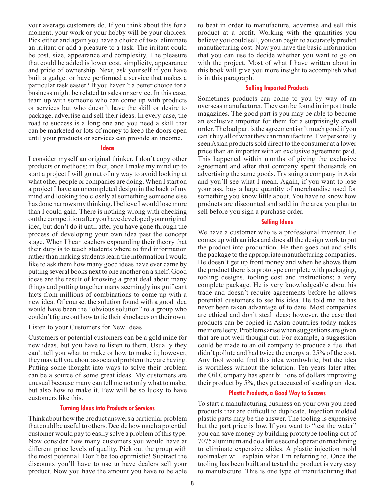your average customers do. If you think about this for a moment, your work or your hobby will be your choices. Pick either and again you have a choice of two: eliminate an irritant or add a pleasure to a task. The irritant could be cost, size, appearance and complexity. The pleasure that could be added is lower cost, simplicity, appearance and pride of ownership. Next, ask yourself if you have built a gadget or have performed a service that makes a particular task easier? If you haven't a better choice for a business might be related to sales or service. In this case, team up with someone who can come up with products or services but who doesn't have the skill or desire to package, advertise and sell their ideas. In every case, the road to success is a long one and you need a skill that can be marketed or lots of money to keep the doors open until your products or services can provide an income.

# **Ideas**

I consider myself an original thinker. I don't copy other products or methods; in fact, once I make my mind up to start a project I will go out of my way to avoid looking at what other people or companies are doing. When I start on a project I have an uncompleted design in the back of my mind and looking too closely at something someone else has done narrows my thinking. I believe I would lose more than I could gain. There is nothing wrong with checking out the competition after you have developed your original idea, but don't do it until after you have gone through the process of developing your own idea past the concept stage. When I hear teachers expounding their theory that their duty is to teach students where to find information rather than making students learn the information I would like to ask them how many good ideas have ever came by putting several books next to one another on a shelf. Good ideas are the result of knowing a great deal about many things and putting together many seemingly insignificant facts from millions of combinations to come up with a new idea. Of course, the solution found with a good idea would have been the "obvious solution" to a group who couldn't figure out how to tie their shoelaces on their own.

Listen to your Customers for New Ideas

Customers or potential customers can be a gold mine for new ideas, but you have to listen to them. Usually they can't tell you what to make or how to make it; however, they may tell you about associated problem they are having. Putting some thought into ways to solve their problem can be a source of some great ideas. My customers are unusual because many can tell me not only what to make, but also how to make it. Few will be so lucky to have customers like this.

#### **Turning Ideas into Products or Services**

Think about how the product answers a particular problem that could be useful to others. Decide how much a potential customer would pay to easily solve a problem of this type. Now consider how many customers you would have at different price levels of quality. Pick out the group with the most potential. Don't be too optimistic! Subtract the discounts you'll have to use to have dealers sell your product. Now you have the amount you have to be able

to beat in order to manufacture, advertise and sell this product at a profit. Working with the quantities you believe you could sell, you can begin to accurately predict manufacturing cost. Now you have the basic information that you can use to decide whether you want to go on with the project. Most of what I have written about in this book will give you more insight to accomplish what is in this paragraph.

# **Selling Imported Products**

Sometimes products can come to you by way of an overseas manufacturer. They can be found in import trade magazines. The good part is you may be able to become an exclusive importer for them for a surprisingly small order. The bad part is the agreement isn't much good if you can't buy all of what they can manufacture. I've personally seen Asian products sold direct to the consumer at a lower price than an importer with an exclusive agreement paid. This happened within months of giving the exclusive agreement and after that company spent thousands on advertising the same goods. Try suing a company in Asia and you'll see what I mean. Again, if you want to lose your ass, buy a large quantity of merchandise used for something you know little about. You have to know how products are discounted and sold in the area you plan to sell before you sign a purchase order.

#### **Selling Ideas**

We have a customer who is a professional inventor. He comes up with an idea and does all the design work to put the product into production. He then goes out and sells the package to the appropriate manufacturing companies. He doesn't get up front money and when he shows them the product there is a prototype complete with packaging, tooling designs, tooling cost and instructions; a very complete package. He is very knowledgeable about his trade and doesn't require agreements before he allows potential customers to see his idea. He told me he has never been taken advantage of to date. Most companies are ethical and don't steal ideas; however, the ease that products can be copied in Asian countries today makes me more leery. Problems arise when suggestions are given that are not well thought out. For example, a suggestion could be made to an oil company to produce a fuel that didn't pollute and had twice the energy at 25% of the cost. Any fool would find this idea worthwhile, but the idea is worthless without the solution. Ten years later after the Oil Company has spent billions of dollars improving their product by 5%, they get accused of stealing an idea.

# **Plastic Products, a Good Way to Success**

To start a manufacturing business on your own you need products that are difficult to duplicate. Injection molded plastic parts may be the answer. The tooling is expensive but the part price is low. If you want to "test the water" you can save money by building prototype tooling out of 7075 aluminum and do a little second operation machining to eliminate expensive slides. A plastic injection mold toolmaker will explain what I'm referring to. Once the tooling has been built and tested the product is very easy to manufacture. This is one type of manufacturing that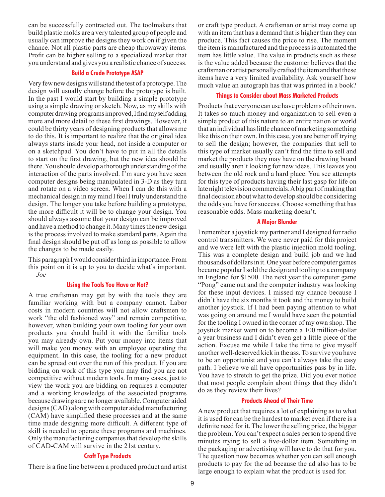can be successfully contracted out. The toolmakers that build plastic molds are a very talented group of people and usually can improve the designs they work on if given the chance. Not all plastic parts are cheap throwaway items. Profit can be higher selling to a specialized market that you understand and gives you a realistic chance of success.

# **Build a Crude Prototype ASAP**

Very few new designs will stand the test of a prototype. The design will usually change before the prototype is built. In the past I would start by building a simple prototype using a simple drawing or sketch. Now, as my skills with computer drawing programs improved, I find myself adding more and more detail to these first drawings. However, it could be thirty years of designing products that allows me to do this. It is important to realize that the original idea always starts inside your head, not inside a computer or on a sketchpad. You don't have to put in all the details to start on the first drawing, but the new idea should be there. You should develop a thorough understanding of the interaction of the parts involved. I'm sure you have seen computer designs being manipulated in 3-D as they turn and rotate on a video screen. When I can do this with a mechanical design in my mind I feel I truly understand the design. The longer you take before building a prototype, the more difficult it will be to change your design. You should always assume that your design can be improved and have a method to change it. Many times the new design is the process involved to make standard parts. Again the final design should be put off as long as possible to allow the changes to be made easily.

This paragraph I would consider third in importance. From this point on it is up to you to decide what's important. *— Joe*

#### **Using the Tools You Have or Not?**

A true craftsman may get by with the tools they are familiar working with but a company cannot. Labor costs in modern countries will not allow craftsmen to work "the old fashioned way" and remain competitive, however, when building your own tooling for your own products you should build it with the familiar tools you may already own. Put your money into items that will make you money with an employee operating the equipment. In this case, the tooling for a new product can be spread out over the run of this product. If you are bidding on work of this type you may find you are not competitive without modern tools. In many cases, just to view the work you are bidding on requires a computer and a working knowledge of the associated programs because drawings are no longer available. Computer aided designs (CAD) along with computer aided manufacturing (CAM) have simplified these processes and at the same time made designing more difficult. A different type of skill is needed to operate these programs and machines. Only the manufacturing companies that develop the skills of CAD-CAM will survive in the 21st century.

# **Craft Type Products**

There is a fine line between a produced product and artist

or craft type product. A craftsman or artist may come up with an item that has a demand that is higher than they can produce. This fact causes the price to rise. The moment the item is manufactured and the process is automated the item has little value. The value in products such as these is the value added because the customer believes that the craftsman or artist personally crafted the item and that these items have a very limited availability. Ask yourself how much value an autograph has that was printed in a book?

#### **Things to Consider about Mass Marketed Products**

Products that everyone can use have problems of their own. It takes so much money and organization to sell even a simple product of this nature to an entire nation or world that an individual has little chance of marketing something like this on their own. In this case, you are better off trying to sell the design; however, the companies that sell to this type of market usually can't find the time to sell and market the products they may have on the drawing board and usually aren't looking for new ideas. This leaves you between the old rock and a hard place. You see attempts for this type of products having their last gasp for life on late night television commercials. A big part of making that final decision about what to develop should be considering the odds you have for success. Choose something that has reasonable odds. Mass marketing doesn't.

#### **A Major Blunder**

I remember a joystick my partner and I designed for radio control transmitters. We were never paid for this project and we were left with the plastic injection mold tooling. This was a complete design and build job and we had thousands of dollars in it. One year before computer games became popular I sold the design and tooling to a company in England for \$1500. The next year the computer game "Pong" came out and the computer industry was looking for these input devices. I missed my chance because I didn't have the six months it took and the money to build another joystick. If I had been paying attention to what was going on around me I would have seen the potential for the tooling I owned in the corner of my own shop. The joystick market went on to become a 100 million-dollar a year business and I didn't even get a little piece of the action. Excuse me while I take the time to give myself another well-deserved kick in the ass. To survive you have to be an opportunist and you can't always take the easy path. I believe we all have opportunities pass by in life. You have to stretch to get the prize. Did you ever notice that most people complain about things that they didn't do as they review their lives?

#### **Products Ahead of Their Time**

A new product that requires a lot of explaining as to what it is used for can be the hardest to market even if there is a definite need for it. The lower the selling price, the bigger the problem. You can't expect a sales person to spend five minutes trying to sell a five-dollar item. Something in the packaging or advertising will have to do that for you. The question now becomes whether you can sell enough products to pay for the ad because the ad also has to be large enough to explain what the product is used for.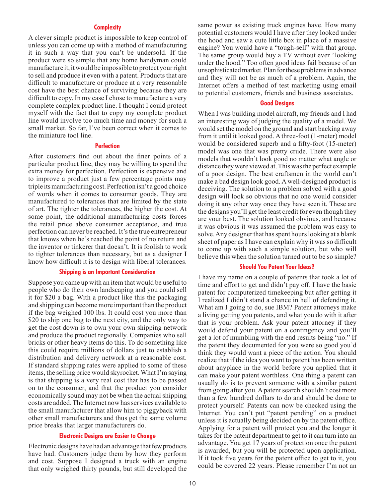#### **Complexity**

A clever simple product is impossible to keep control of unless you can come up with a method of manufacturing it in such a way that you can't be undersold. If the product were so simple that any home handyman could manufacture it, it would be impossible to protect your right to sell and produce it even with a patent. Products that are difficult to manufacture or produce at a very reasonable cost have the best chance of surviving because they are difficult to copy. In my case I chose to manufacture a very complete complex product line. I thought I could protect myself with the fact that to copy my complete product line would involve too much time and money for such a small market. So far, I've been correct when it comes to the miniature tool line.

#### **Perfection**

After customers find out about the finer points of a particular product line, they may be willing to spend the extra money for perfection. Perfection is expensive and to improve a product just a few percentage points may triple its manufacturing cost. Perfection isn't a good choice of words when it comes to consumer goods. They are manufactured to tolerances that are limited by the state of art. The tighter the tolerances, the higher the cost. At some point, the additional manufacturing costs forces the retail price above consumer acceptance, and true perfection can never be reached. It's the true entrepreneur that knows when he's reached the point of no return and the inventor or tinkerer that doesn't. It is foolish to work to tighter tolerances than necessary, but as a designer I know how difficult it is to design with liberal tolerances.

#### **Shipping is an Important Consideration**

Suppose you came up with an item that would be useful to people who do their own landscaping and you could sell it for \$20 a bag. With a product like this the packaging and shipping can become more important than the product if the bag weighed 100 lbs. It could cost you more than \$20 to ship one bag to the next city, and the only way to get the cost down is to own your own shipping network and produce the product regionally. Companies who sell bricks or other heavy items do this. To do something like this could require millions of dollars just to establish a distribution and delivery network at a reasonable cost. If standard shipping rates were applied to some of these items, the selling price would skyrocket. What I'm saying is that shipping is a very real cost that has to be passed on to the consumer, and that the product you consider economically sound may not be when the actual shipping costs are added. The Internet now has services available to the small manufacturer that allow him to piggyback with other small manufacturers and thus get the same volume price breaks that larger manufacturers do.

# **Electronic Designs are Easier to Change**

Electronic designs have had an advantage that few products have had. Customers judge them by how they perform and cost. Suppose I designed a truck with an engine that only weighed thirty pounds, but still developed the same power as existing truck engines have. How many potential customers would I have after they looked under the hood and saw a cute little box in place of a massive engine? You would have a "tough-sell" with that group. The same group would buy a TV without ever "looking under the hood." Too often good ideas fail because of an unsophisticated market. Plan for these problems in advance and they will not be as much of a problem. Again, the Internet offers a method of test marketing using email to potential customers, friends and business associates.

# **Good Designs**

When I was building model aircraft, my friends and I had an interesting way of judging the quality of a model. We would set the model on the ground and start backing away from it until it looked good. A three-foot (1-meter) model would be considered superb and a fifty-foot (15-meter) model was one that was pretty crude. There were also models that wouldn't look good no matter what angle or distance they were viewed at. This was the perfect example of a poor design. The best craftsmen in the world can't make a bad design look good. A well-designed product is deceiving. The solution to a problem solved with a good design will look so obvious that no one would consider doing it any other way once they have seen it. These are the designs you'll get the least credit for even though they are your best. The solution looked obvious, and because it was obvious it was assumed the problem was easy to solve. Any designer that has spent hours looking at a blank sheet of paper as I have can explain why it was so difficult to come up with such a simple solution, but who will believe this when the solution turned out to be so simple?

#### **Should You Patent Your Ideas?**

I have my name on a couple of patents that took a lot of time and effort to get and didn't pay off. I have the basic patent for computerized timekeeping but after getting it I realized I didn't stand a chance in hell of defending it. What am I going to do, sue IBM? Patent attorneys make a living getting you patents, and what you do with it after that is your problem. Ask your patent attorney if they would defend your patent on a contingency and you'll get a lot of mumbling with the end results being "no." If the patent they documented for you were so good you'd think they would want a piece of the action. You should realize that if the idea you want to patent has been written about anyplace in the world before you applied that it can make your patent worthless. One thing a patent can usually do is to prevent someone with a similar patent from going after you. A patent search shouldn't cost more than a few hundred dollars to do and should be done to protect yourself. Patents can now be checked using the Internet. You can't put "patent pending" on a product unless it is actually being decided on by the patent office. Applying for a patent will protect you and the longer it takes for the patent department to get to it can turn into an advantage. You get 17 years of protection once the patent is awarded, but you will be protected upon application. If it took five years for the patent office to get to it, you could be covered 22 years. Please remember I'm not an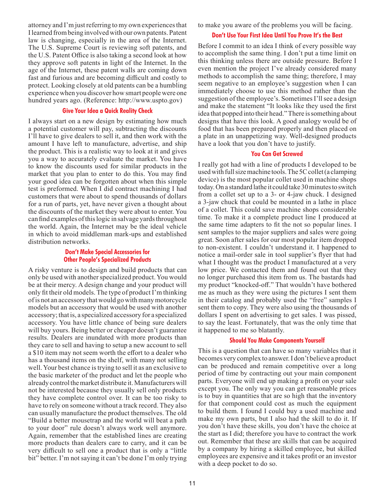attorney and I'm just referring to my own experiences that I learned from being involved with our own patents. Patent law is changing, especially in the area of the Internet. The U.S. Supreme Court is reviewing soft patents, and the U.S. Patent Office is also taking a second look at how they approve soft patents in light of the Internet. In the age of the Internet, these patent walls are coming down fast and furious and are becoming difficult and costly to protect. Looking closely at old patents can be a humbling experience when you discover how smart people were one hundred years ago. (Reference: http://www.uspto.gov)

# **Give Your Idea a Quick Reality Check**

I always start on a new design by estimating how much a potential customer will pay, subtracting the discounts I'll have to give dealers to sell it, and then work with the amount I have left to manufacture, advertise, and ship the product. This is a realistic way to look at it and gives you a way to accurately evaluate the market. You have to know the discounts used for similar products in the market that you plan to enter to do this. You may find your good idea can be forgotten about when this simple test is preformed. When I did contract machining I had customers that were about to spend thousands of dollars for a run of parts, yet, have never given a thought about the discounts of the market they were about to enter. You can find examples of this logic in salvage yards throughout the world. Again, the Internet may be the ideal vehicle in which to avoid middleman mark-ups and established distribution networks.

# **Don't Make Special Accessories for Other People's Specialized Products**

A risky venture is to design and build products that can only be used with another specialized product. You would be at their mercy. A design change and your product will only fit their old models. The type of product I'm thinking of is not an accessory that would go with many motorcycle models but an accessory that would be used with another accessory; that is, a specialized accessory for a specialized accessory. You have little chance of being sure dealers will buy yours. Being better or cheaper doesn't guarantee results. Dealers are inundated with more products than they care to sell and having to setup a new account to sell a \$10 item may not seem worth the effort to a dealer who has a thousand items on the shelf, with many not selling well. Your best chance is trying to sell it as an exclusive to the basic marketer of the product and let the people who already control the market distribute it. Manufacturers will not be interested because they usually sell only products they have complete control over. It can be too risky to have to rely on someone without a track record. They also can usually manufacture the product themselves. The old "Build a better mousetrap and the world will beat a path to your door" rule doesn't always work well anymore. Again, remember that the established lines are creating more products than dealers care to carry, and it can be very difficult to sell one a product that is only a "little bit" better. I'm not saying it can't be done I'm only trying to make you aware of the problems you will be facing.

# **Don't Use Your First Idea Until You Prove It's the Best**

Before I commit to an idea I think of every possible way to accomplish the same thing. I don't put a time limit on this thinking unless there are outside pressure. Before I even mention the project I've already considered many methods to accomplish the same thing; therefore, I may seem negative to an employee's suggestion when I can immediately choose to use this method rather than the suggestion of the employee's. Sometimes I'll see a design and make the statement "It looks like they used the first idea that popped into their head." There is something about designs that have this look. A good analogy would be of food that has been prepared properly and then placed on a plate in an unappetizing way. Well-designed products have a look that you don't have to justify.

# **You Can Get Screwed**

I really got had with a line of products I developed to be used with full size machine tools. The 5C collet (a clamping device) is the most popular collet used in machine shops today. On a standard lathe it could take 30 minutes to switch from a collet set up to a 3- or 4-jaw chuck. I designed a 3-jaw chuck that could be mounted in a lathe in place of a collet. This could save machine shops considerable time. To make it a complete product line I produced at the same time adapters to fit the not so popular lines. I sent samples to the major suppliers and sales were going great. Soon after sales for our most popular item dropped to non-existent. I couldn't understand it. I happened to notice a mail-order sale in tool supplier's flyer that had what I thought was the product I manufactured at a very low price. We contacted them and found out that they no longer purchased this item from us. The bastards had my product "knocked-off." That wouldn't have bothered me as much as they were using the pictures I sent them in their catalog and probably used the "free" samples I sent them to copy. They were also using the thousands of dollars I spent on advertising to get sales. I was pissed, to say the least. Fortunately, that was the only time that it happened to me so blatantly.

# **Should You Make Components Yourself**

This is a question that can have so many variables that it becomes very complex to answer. I don't believe a product can be produced and remain competitive over a long period of time by contracting out your main component parts. Everyone will end up making a profit on your sale except you. The only way you can get reasonable prices is to buy in quantities that are so high that the inventory for that component could cost as much the equipment to build them. I found I could buy a used machine and make my own parts, but I also had the skill to do it. If you don't have these skills, you don't have the choice at the start as I did; therefore you have to contract the work out. Remember that these are skills that can be acquired by a company by hiring a skilled employee, but skilled employees are expensive and it takes profit or an investor with a deep pocket to do so.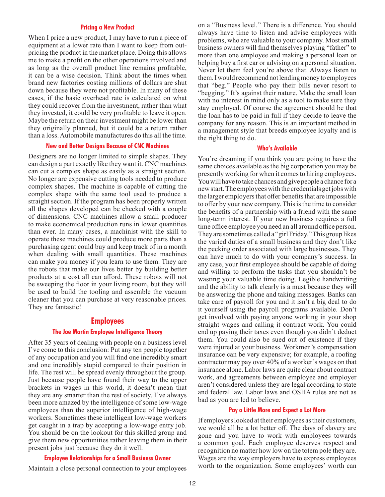#### **Pricing a New Product**

<span id="page-11-0"></span>When I price a new product, I may have to run a piece of equipment at a lower rate than I want to keep from outpricing the product in the market place. Doing this allows me to make a profit on the other operations involved and as long as the overall product line remains profitable, it can be a wise decision. Think about the times when brand new factories costing millions of dollars are shut down because they were not profitable. In many of these cases, if the basic overhead rate is calculated on what they could recover from the investment, rather than what they invested, it could be very profitable to leave it open. Maybe the return on their investment might be lower than they originally planned, but it could be a return rather than a loss. Automobile manufactures do this all the time.

# **New and Better Designs Because of CNC Machines**

Designers are no longer limited to simple shapes. They can design a part exactly like they want it. CNC machines can cut a complex shape as easily as a straight section. No longer are expensive cutting tools needed to produce complex shapes. The machine is capable of cutting the complex shape with the same tool used to produce a straight section. If the program has been properly written all the shapes developed can be checked with a couple of dimensions. CNC machines allow a small producer to make economical production runs in lower quantities than ever. In many cases, a machinist with the skill to operate these machines could produce more parts than a purchasing agent could buy and keep track of in a month when dealing with small quantities. These machines can make you money if you learn to use them. They are the robots that make our lives better by building better products at a cost all can afford. These robots will not be sweeping the floor in your living room, but they will be used to build the tooling and assemble the vacuum cleaner that you can purchase at very reasonable prices. They are fantastic!

# **Employees**

# **The Joe Martin Employee Intelligence Theory**

After 35 years of dealing with people on a business level I've come to this conclusion: Put any ten people together of any occupation and you will find one incredibly smart and one incredibly stupid compared to their position in life. The rest will be spread evenly throughout the group. Just because people have found their way to the upper brackets in wages in this world, it doesn't mean that they are any smarter than the rest of society. I've always been more amazed by the intelligence of some low-wage employees than the superior intelligence of high-wage workers. Sometimes these intelligent low-wage workers get caught in a trap by accepting a low-wage entry job. You should be on the lookout for this skilled group and give them new opportunities rather leaving them in their present jobs just because they do it well.

# **Employee Relationships for a Small Business Owner**

Maintain a close personal connection to your employees

on a "Business level." There is a difference. You should always have time to listen and advise employees with problems, who are valuable to your company. Most small business owners will find themselves playing "father" to more than one employee and making a personal loan or helping buy a first car or advising on a personal situation. Never let them feel you're above that. Always listen to them. I would recommend not lending money to employees that "beg." People who pay their bills never resort to "begging." It's against their nature. Make the small loan with no interest in mind only as a tool to make sure they stay employed. Of course the agreement should be that the loan has to be paid in full if they decide to leave the company for any reason. This is an important method in a management style that breeds employee loyalty and is the right thing to do.

# **Who's Available**

You're dreaming if you think you are going to have the same choices available as the big corporation you may be presently working for when it comes to hiring employees. You will have to take chances and give people a chance for a new start. The employees with the credentials get jobs with the larger employers that offer benefits that are impossible to offer by your new company. This is the time to consider the benefits of a partnership with a friend with the same long-term interest. If your new business requires a full time office employee you need an all around office person. They are sometimes called a "girl Friday." This group likes the varied duties of a small business and they don't like the pecking order associated with large businesses. They can have much to do with your company's success. In any case, your first employee should be capable of doing and willing to perform the tasks that you shouldn't be wasting your valuable time doing. Legible handwriting and the ability to talk clearly is a must because they will be answering the phone and taking messages. Banks can take care of payroll for you and it isn't a big deal to do it yourself using the payroll programs available. Don't get involved with paying anyone working in your shop straight wages and calling it contract work. You could end up paying their taxes even though you didn't deduct them. You could also be sued out of existence if they were injured at your business. Workmen's compensation insurance can be very expensive; for example, a roofing contractor may pay over 40% of a worker's wages on that insurance alone. Labor laws are quite clear about contract work, and agreements between employee and employer aren't considered unless they are legal according to state and federal law. Labor laws and OSHA rules are not as bad as you are led to believe.

# **Pay a Little More and Expect a Lot More**

If employers looked at their employees as their customers, we would all be a lot better off. The days of slavery are gone and you have to work with employees towards a common goal. Each employee deserves respect and recognition no matter how low on the totem pole they are. Wages are the way employers have to express employees worth to the organization. Some employees' worth can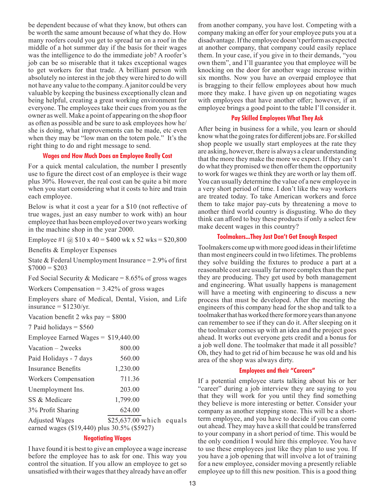be dependent because of what they know, but others can be worth the same amount because of what they do. How many roofers could you get to spread tar on a roof in the middle of a hot summer day if the basis for their wages was the intelligence to do the immediate job? A roofer's job can be so miserable that it takes exceptional wages to get workers for that trade. A brilliant person with absolutely no interest in the job they were hired to do will not have any value to the company. A janitor could be very valuable by keeping the business exceptionally clean and being helpful, creating a great working environment for everyone. The employees take their cues from you as the owner as well. Make a point of appearing on the shop floor as often as possible and be sure to ask employees how he/ she is doing, what improvements can be made, etc even when they may be "low man on the totem pole." It's the right thing to do and right message to send.

# **Wages and How Much Does an Employee Really Cost**

For a quick mental calculation, the number I presently use to figure the direct cost of an employee is their wage plus 30%. However, the real cost can be quite a bit more when you start considering what it costs to hire and train each employee.

Below is what it cost a year for a \$10 (not reflective of true wages, just an easy number to work with) an hour employee that has been employed over two years working in the machine shop in the year 2000.

Employee #1  $\omega$  \$10 x 40 = \$400 wk x 52 wks = \$20,800

Benefits & Employer Expenses

State & Federal Unemployment Insurance =  $2.9\%$  of first  $$7000 = $203$ 

Fed Social Security & Medicare =  $8.65\%$  of gross wages

Workers Compensation  $= 3.42\%$  of gross wages

Employers share of Medical, Dental, Vision, and Life insurance  $=$  \$1230/yr.

| Vacation benefit 2 wks pay $=$ \$800 |  |  |  |  |  |
|--------------------------------------|--|--|--|--|--|
|--------------------------------------|--|--|--|--|--|

7 Paid holidays  $=$  \$560

| Employee Earned Wages = $$19,440.00$                                 |                           |  |
|----------------------------------------------------------------------|---------------------------|--|
| Vacation $-2$ weeks                                                  | 800.00                    |  |
| Paid Holidays - 7 days                                               | 560.00                    |  |
| Insurance Benefits                                                   | 1,230.00                  |  |
| Workers Compensation                                                 | 711.36                    |  |
| Unemployment Ins.                                                    | 203.00                    |  |
| SS & Medicare                                                        | 1,799.00                  |  |
| 3% Profit Sharing                                                    | 624.00                    |  |
| <b>Adjusted Wages</b><br>earned wages (\$19,440) plus 30.5% (\$5927) | $$25,637.00$ which equals |  |

# **Negotiating Wages**

I have found it is best to give an employee a wage increase before the employee has to ask for one. This way you control the situation. If you allow an employee to get so unsatisfied with their wages that they already have an offer from another company, you have lost. Competing with a company making an offer for your employee puts you at a disadvantage. If the employee doesn't perform as expected at another company, that company could easily replace them. In your case, if you give in to their demands, "you own them", and I'll guarantee you that employee will be knocking on the door for another wage increase within six months. Now you have an overpaid employee that is bragging to their fellow employees about how much more they make. I have given up on negotiating wages with employees that have another offer; however, if an employee brings a good point to the table I'll consider it.

# **Pay Skilled Employees What They Ask**

After being in business for a while, you learn or should know what the going rates for different jobs are. For skilled shop people we usually start employees at the rate they are asking, however, there is always a clear understanding that the more they make the more we expect. If they can't do what they promised we then offer them the opportunity to work for wages we think they are worth or lay them off. You can usually determine the value of a new employee in a very short period of time. I don't like the way workers are treated today. To take American workers and force them to take major pay-cuts by threatening a move to another third world country is disgusting. Who do they think can afford to buy these products if only a select few make decent wages in this country?

# **Toolmakers...They Just Don't Get Enough Respect**

Toolmakers come up with more good ideas in their lifetime than most engineers could in two lifetimes. The problems they solve building the fixtures to produce a part at a reasonable cost are usually far more complex than the part they are producing. They get used by both management and engineering. What usually happens is management will have a meeting with engineering to discuss a new process that must be developed. After the meeting the engineers of this company head for the shop and talk to a toolmaker that has worked there for more years than anyone can remember to see if they can do it. After sleeping on it the toolmaker comes up with an idea and the project goes ahead. It works out everyone gets credit and a bonus for a job well done. The toolmaker that made it all possible? Oh, they had to get rid of him because he was old and his area of the shop was always dirty.

# **Employees and their "Careers"**

If a potential employee starts talking about his or her "career" during a job interview they are saying to you that they will work for you until they find something they believe is more interesting or better. Consider your company as another stepping stone. This will be a shortterm employee, and you have to decide if you can come out ahead. They may have a skill that could be transferred to your company in a short period of time. This would be the only condition I would hire this employee. You have to use these employees just like they plan to use you. If you have a job opening that will involve a lot of training for a new employee, consider moving a presently reliable employee up to fill this new position. This is a good thing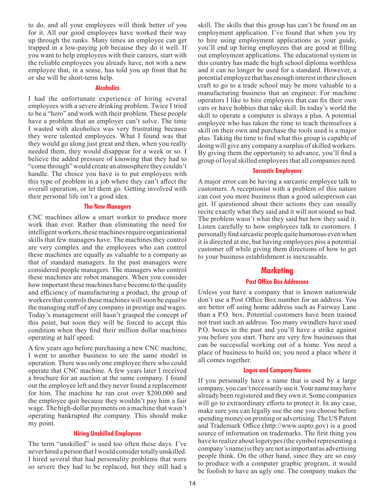<span id="page-13-0"></span>to do, and all your employees will think better of you for it. All our good employees have worked their way up through the ranks. Many times an employee can get trapped in a low-paying job because they do it well. If you want to help employees with their careers, start with the reliable employees you already have, not with a new employee that, in a sense, has told you up front that he or she will be short-term help.

### **Alcoholics**

I had the unfortunate experience of hiring several employees with a severe drinking problem. Twice I tried to be a "hero" and work with their problem. These people have a problem that an employer can't solve. The time I wasted with alcoholics was very frustrating because they were talented employees. What I found was that they would go along just great and then, when you really needed them, they would disappear for a week or so. I believe the added pressure of knowing that they had to "come through" would create an atmosphere they couldn't handle. The choice you have is to put employees with this type of problem in a job where they can't affect the overall operation, or let them go. Getting involved with their personal life isn't a good idea.

# **The New Managers**

CNC machines allow a smart worker to produce more work than ever. Rather than eliminating the need for intelligent workers, these machines require organizational skills that few managers have. The machines they control are very complex and the employees who can control these machines are equally as valuable to a company as that of standard managers. In the past managers were considered people managers. The managers who control these machines are robot managers. When you consider how important these machines have become to the quality and efficiency of manufacturing a product, the group of workers that controls these machines will soon be equal to the managing staff of any company in prestige and wages. Today's management still hasn't grasped the concept of this point, but soon they will be forced to accept this condition when they find their million dollar machines operating at half speed.

A few years ago before purchasing a new CNC machine, I went to another business to see the same model in operation. There was only one employee there who could operate that CNC machine. A few years later I received a brochure for an auction at the same company. I found out the employee left and they never found a replacement for him. The machine he ran cost over \$200,000 and the employee quit because they wouldn't pay him a fair wage. The high-dollar payments on a machine that wasn't operating bankrupted the company. This should make my point.

# **Hiring Unskilled Employees**

The term "unskilled" is used too often these days. I've never hired a person that I would consider totally unskilled. I hired several that had personality problems that were so severe they had to be replaced, but they still had a skill. The skills that this group has can't be found on an employment application. I've found that when you try to hire using employment applications as your guide, you'll end up hiring employees that are good at filling out employment applications. The educational system in this country has made the high school diploma worthless and it can no longer be used for a standard. However, a potential employee that has enough interest in their chosen craft to go to a trade school may be more valuable to a manufacturing business that an engineer. For machine operators I like to hire employees that can fix their own cars or have hobbies that take skill. In today's world the skill to operate a computer is always a plus. A potential employee who has taken the time to teach themselves a skill on their own and purchase the tools used is a major plus. Taking the time to find what this group is capable of doing will give any company a surplus of skilled workers. By giving them the opportunity to advance, you'll find a group of loyal skilled employees that all companies need.

# **Sarcastic Employees**

A major error can be having a sarcastic employee talk to customers. A receptionist with a problem of this nature can cost you more business than a good salesperson can get. If questioned about their actions they can usually recite exactly what they said and it will not sound so bad. The problem wasn't what they said but how they said it. Listen carefully to how employees talk to customers. I personally find sarcastic people quite humorous even when it is directed at me, but having employees piss a potential customer off while giving them directions of how to get to your business establishment is inexcusable.

# **Marketing**

# **Post Office Box Addresses**

Unless you have a company that is known nationwide don't use a Post Office Box number for an address. You are better off using home address such as Fairway Lane than a P.O. box. Potential customers have been trained not trust such an address. Too many swindlers have used P.O. boxes in the past and you'll have a strike against you before you start. There are very few businesses that can be successful working out of a home. You need a place of business to build on; you need a place where it all comes together.

# **Logos and Company Names**

If you personally have a name that is used by a large company, you can't necessarily use it. Your name may have already been registered and they own it. Some companies will go to extraordinary efforts to protect it. In any case, make sure you can legally use the one you choose before spending money on printing or advertising. The US Patent and Trademark Office (http://www.uspto.gov) is a good source of information on trademarks. The first thing you have to realize about logotypes (the symbol representing a company's name) is they are not as important as advertising people think. On the other hand, since they are so easy to produce with a computer graphic program, it would be foolish to have an ugly one. The company makes the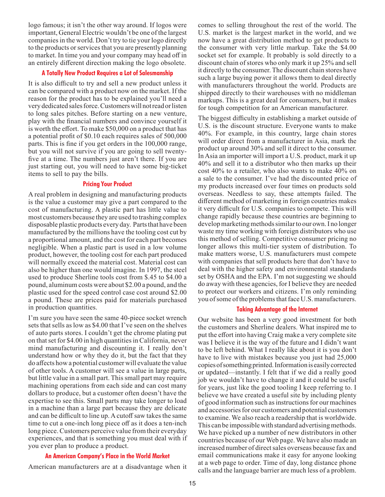logo famous; it isn't the other way around. If logos were important, General Electric wouldn't be one of the largest companies in the world. Don't try to tie your logo directly to the products or services that you are presently planning to market. In time you and your company may head off in an entirely different direction making the logo obsolete.

# **A Totally New Product Requires a Lot of Salesmanship**

It is also difficult to try and sell a new product unless it can be compared with a product now on the market. If the reason for the product has to be explained you'll need a very dedicated sales force. Customers will not read or listen to long sales pitches. Before starting on a new venture, play with the financial numbers and convince yourself it is worth the effort. To make \$50,000 on a product that has a potential profit of \$0.10 each requires sales of 500,000 parts. This is fine if you get orders in the 100,000 range, but you will not survive if you are going to sell twentyfive at a time. The numbers just aren't there. If you are just starting out, you will need to have some big-ticket items to sell to pay the bills.

#### **Pricing Your Product**

A real problem in designing and manufacturing products is the value a customer may give a part compared to the cost of manufacturing. A plastic part has little value to most customers because they are used to trashing complex disposable plastic products every day. Parts that have been manufactured by the millions have the tooling cost cut by a proportional amount, and the cost for each part becomes negligible. When a plastic part is used in a low volume product, however, the tooling cost for each part produced will normally exceed the material cost. Material cost can also be higher than one would imagine. In 1997, the steel used to produce Sherline tools cost from \$.45 to \$4.00 a pound, aluminum costs were about \$2.00 a pound, and the plastic used for the speed control case cost around \$2.00 a pound. These are prices paid for materials purchased in production quantities.

I'm sure you have seen the same 40-piece socket wrench sets that sells as low as \$4.00 that I've seen on the shelves of auto parts stores. I couldn't get the chrome plating put on that set for \$4.00 in high quantities in California, never mind manufacturing and discounting it. I really don't understand how or why they do it, but the fact that they do affects how a potential customer will evaluate the value of other tools. A customer will see a value in large parts, but little value in a small part. This small part may require machining operations from each side and can cost many dollars to produce, but a customer often doesn't have the expertise to see this. Small parts may take longer to load in a machine than a large part because they are delicate and can be difficult to line up. A cutoff saw takes the same time to cut a one-inch long piece off as it does a ten-inch long piece. Customers perceive value from their everyday experiences, and that is something you must deal with if you ever plan to produce a product.

#### **An American Company's Place in the World Market**

American manufacturers are at a disadvantage when it

comes to selling throughout the rest of the world. The U.S. market is the largest market in the world, and we now have a great distribution method to get products to the consumer with very little markup. Take the \$4.00 socket set for example. It probably is sold directly to a discount chain of stores who only mark it up 25% and sell it directly to the consumer. The discount chain stores have such a large buying power it allows them to deal directly with manufacturers throughout the world. Products are shipped directly to their warehouses with no middleman markups. This is a great deal for consumers, but it makes for tough competition for an American manufacturer.

The biggest difficulty in establishing a market outside of U.S. is the discount structure. Everyone wants to make 40%. For example, in this country, large chain stores will order direct from a manufacturer in Asia, mark the product up around 30% and sell it direct to the consumer. In Asia an importer will import a U.S. product, mark it up 40% and sell it to a distributor who then marks up their cost 40% to a retailer, who also wants to make 40% on a sale to the consumer. I've had the discounted price of my products increased over four times on products sold overseas. Needless to say, these attempts failed. The different method of marketing in foreign countries makes it very difficult for U.S. companies to compete. This will change rapidly because these countries are beginning to develop marketing methods similar to our own. I no longer waste my time working with foreign distributors who use this method of selling. Competitive consumer pricing no longer allows this multi-tier system of distribution. To make matters worse, U.S. manufacturers must compete with companies that sell products here that don't have to deal with the higher safety and environmental standards set by OSHA and the EPA. I'm not suggesting we should do away with these agencies, for I believe they are needed to protect our workers and citizens. I'm only reminding you of some of the problems that face U.S. manufacturers.

#### **Taking Advantage of the Internet**

Our website has been a very good investment for both the customers and Sherline dealers. What inspired me to put the effort into having Craig make a very complete site was I believe it is the way of the future and I didn't want to be left behind. What I really like about it is you don't have to live with mistakes because you just had 25,000 copies of something printed. Information is easily corrected or updated—instantly. I felt that if we did a really good job we wouldn't have to change it and it could be useful for years, just like the good tooling I keep referring to. I believe we have created a useful site by including plenty of good information such as instructions for our machines and accessories for our customers and potential customers to examine. We also reach a readership that is worldwide. This can be impossible with standard advertising methods. We have picked up a number of new distributors in other countries because of our Web page. We have also made an increased number of direct sales overseas because fax and email communications make it easy for anyone looking at a web page to order. Time of day, long distance phone calls and the language barrier are much less of a problem.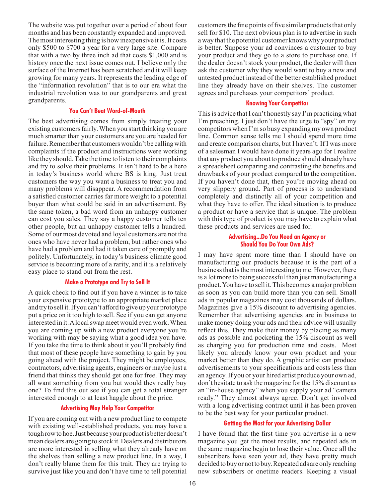The website was put together over a period of about four months and has been constantly expanded and improved. The most interesting thing is how inexpensive it is. It costs only \$500 to \$700 a year for a very large site. Compare that with a two by three inch ad that costs \$1,000 and is history once the next issue comes out. I believe only the surface of the Internet has been scratched and it will keep growing for many years. It represents the leading edge of the "information revolution" that is to our era what the industrial revolution was to our grandparents and great grandparents.

# **You Can't Beat Word-of-Mouth**

The best advertising comes from simply treating your existing customers fairly. When you start thinking you are much smarter than your customers are you are headed for failure. Remember that customers wouldn't be calling with complaints if the product and instructions were working like they should. Take the time to listen to their complaints and try to solve their problems. It isn't hard to be a hero in today's business world where BS is king. Just treat customers the way you want a business to treat you and many problems will disappear. A recommendation from a satisfied customer carries far more weight to a potential buyer than what could be said in an advertisement. By the same token, a bad word from an unhappy customer can cost you sales. They say a happy customer tells ten other people, but an unhappy customer tells a hundred. Some of our most devoted and loyal customers are not the ones who have never had a problem, but rather ones who have had a problem and had it taken care of promptly and politely. Unfortunately, in today's business climate good service is becoming more of a rarity, and it is a relatively easy place to stand out from the rest.

# **Make a Prototype and Try to Sell It**

A quick check to find out if you have a winner is to take your expensive prototype to an appropriate market place and try to sell it. If you can't afford to give up your prototype put a price on it too high to sell. See if you can get anyone interested in it. A local swap meet would even work. When you are coming up with a new product everyone you're working with may be saying what a good idea you have. If you take the time to think about it you'll probably find that most of these people have something to gain by you going ahead with the project. They might be employees, contractors, advertising agents, engineers or maybe just a friend that thinks they should get one for free. They may all want something from you but would they really buy one? To find this out see if you can get a total stranger interested enough to at least haggle about the price.

# **Advertising May Help Your Competitor**

If you are coming out with a new product line to compete with existing well-established products, you may have a tough row to hoe. Just because your product is better doesn't mean dealers are going to stock it. Dealers and distributors are more interested in selling what they already have on the shelves than selling a new product line. In a way, I don't really blame them for this trait. They are trying to survive just like you and don't have time to tell potential

customers the fine points of five similar products that only sell for \$10. The next obvious plan is to advertise in such a way that the potential customer knows why your product is better. Suppose your ad convinces a customer to buy your product and they go to a store to purchase one. If the dealer doesn't stock your product, the dealer will then ask the customer why they would want to buy a new and untested product instead of the better established product line they already have on their shelves. The customer agrees and purchases your competitors' product.

# **Knowing Your Competitor**

This is advice that I can't honestly say I'm practicing what I'm preaching. I just don't have the urge to "spy" on my competitors when I'm so busy expanding my own product line. Common sense tells me I should spend more time and create comparison charts, but I haven't. If I was more of a salesman I would have done it years ago for I realize that any product you about to produce should already have a spreadsheet comparing and contrasting the benefits and drawbacks of your product compared to the competition. If you haven't done that, then you're moving ahead on very slippery ground. Part of process is to understand completely and distinctly all of your competition and what they have to offer. The ideal situation is to produce a product or have a service that is unique. The problem with this type of product is you may have to explain what these products and services are used for.

# **Advertising...Do You Need an Agency or Should You Do Your Own Ads?**

I may have spent more time than I should have on manufacturing our products because it is the part of a business that is the most interesting to me. However, there is a lot more to being successful than just manufacturing a product. You have to sell it. This becomes a major problem as soon as you can build more than you can sell. Small ads in popular magazines may cost thousands of dollars. Magazines give a 15% discount to advertising agencies. Remember that advertising agencies are in business to make money doing your ads and their advice will usually reflect this. They make their money by placing as many ads as possible and pocketing the 15% discount as well as charging you for production time and costs. Most likely you already know your own product and your market better than they do. A graphic artist can produce advertisements to your specifications and costs less than an agency. If you or your hired artist produce your own ad, don't hesitate to ask the magazine for the 15% discount as an "in-house agency" when you supply your ad "camera ready." They almost always agree. Don't get involved with a long advertising contract until it has been proven to be the best way for your particular product.

# **Getting the Most for your Advertising Dollar**

I have found that the first time you advertise in a new magazine you get the most results, and repeated ads in the same magazine begin to lose their value. Once all the subscribers have seen your ad, they have pretty much decided to buy or not to buy. Repeated ads are only reaching new subscribers or onetime readers. Keeping a visual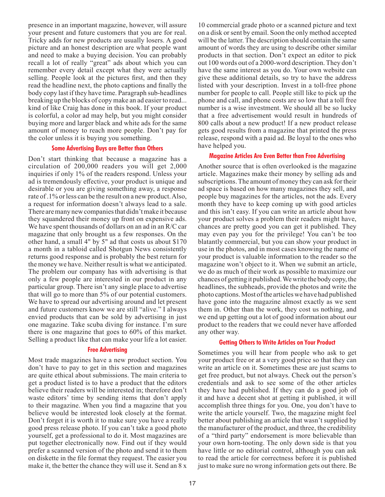presence in an important magazine, however, will assure your present and future customers that you are for real. Tricky adds for new products are usually losers. A good picture and an honest description are what people want and need to make a buying decision. You can probably recall a lot of really "great" ads about which you can remember every detail except what they were actually selling. People look at the pictures first, and then they read the headline next, the photo captions and finally the body copy last if they have time. Paragraph sub-headlines breaking up the blocks of copy make an ad easier to read... kind of like Craig has done in this book. If your product is colorful, a color ad may help, but you might consider buying more and larger black and white ads for the same amount of money to reach more people. Don't pay for the color unless it is buying you something.

# **Some Advertising Buys are Better than Others**

Don't start thinking that because a magazine has a circulation of 200,000 readers you will get 2,000 inquiries if only 1% of the readers respond. Unless your ad is tremendously effective, your product is unique and desirable or you are giving something away, a response rate of .1% or less can be the result on a new product. Also, a request for information doesn't always lead to a sale. There are many new companies that didn't make it because they squandered their money up front on expensive ads. We have spent thousands of dollars on an ad in an R/C car magazine that only brought us a few responses. On the other hand, a small 4" by 5" ad that costs us about \$170 a month in a tabloid called Shotgun News consistently returns good response and is probably the best return for the money we have. Neither result is what we anticipated. The problem our company has with advertising is that only a few people are interested in our product in any particular group. There isn't any single place to advertise that will go to more than 5% of our potential customers. We have to spread our advertising around and let present and future customers know we are still "alive." I always envied products that can be sold by advertising in just one magazine. Take scuba diving for instance. I'm sure there is one magazine that goes to 60% of this market. Selling a product like that can make your life a lot easier.

# **Free Advertising**

Most trade magazines have a new product section. You don't have to pay to get in this section and magazines are quite ethical about submissions. The main criteria to get a product listed is to have a product that the editors believe their readers will be interested in; therefore don't waste editors' time by sending items that don't apply to their magazine. When you find a magazine that you believe would be interested look closely at the format. Don't forget it is worth it to make sure you have a really good press release photo. If you can't take a good photo yourself, get a professional to do it. Most magazines are put together electronically now. Find out if they would prefer a scanned version of the photo and send it to them on diskette in the file format they request. The easier you make it, the better the chance they will use it. Send an 8 x

10 commercial grade photo or a scanned picture and text on a disk or sent by email. Soon the only method accepted will be the latter. The description should contain the same amount of words they are using to describe other similar products in that section. Don't expect an editor to pick out 100 words out of a 2000-word description. They don't have the same interest as you do. Your own website can give these additional details, so try to have the address listed with your description. Invest in a toll-free phone number for people to call. People still like to pick up the phone and call, and phone costs are so low that a toll free number is a wise investment. We should all be so lucky that a free advertisement would result in hundreds of 800 calls about a new product! If a new product release gets good results from a magazine that printed the press release, respond with a paid ad. Be loyal to the ones who have helped you.

#### **Magazine Articles Are Even Better than Free Advertising**

Another source that is often overlooked is the magazine article. Magazines make their money by selling ads and subscriptions. The amount of money they can ask for their ad space is based on how many magazines they sell, and people buy magazines for the articles, not the ads. Every month they have to keep coming up with good articles and this isn't easy. If you can write an article about how your product solves a problem their readers might have, chances are pretty good you can get it published. They may even pay you for the privilege! You can't be too blatantly commercial, but you can show your product in use in the photos, and in most cases knowing the name of your product is valuable information to the reader so the magazine won't object to it. When we submit an article, we do as much of their work as possible to maximize our chances of getting it published. We write the body copy, the headlines, the subheads, provide the photos and write the photo captions. Most of the articles we have had published have gone into the magazine almost exactly as we sent them in. Other than the work, they cost us nothing, and we end up getting out a lot of good information about our product to the readers that we could never have afforded any other way.

#### **Getting Others to Write Articles on Your Product**

Sometimes you will hear from people who ask to get your product free or at a very good price so that they can write an article on it. Sometimes these are just scams to get free product, but not always. Check out the person's credentials and ask to see some of the other articles they have had published. If they can do a good job of it and have a decent shot at getting it published, it will accomplish three things for you. One, you don't have to write the article yourself. Two, the magazine might feel better about publishing an article that wasn't supplied by the manufacturer of the product, and three, the credibility of a "third party" endorsement is more believable than your own horn-tooting. The only down side is that you have little or no editorial control, although you can ask to read the article for correctness before it is published just to make sure no wrong information gets out there. Be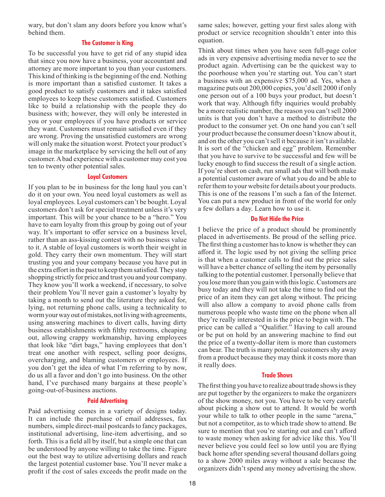wary, but don't slam any doors before you know what's behind them.

#### **The Customer is King**

To be successful you have to get rid of any stupid idea that since you now have a business, your accountant and attorney are more important to you than your customers. This kind of thinking is the beginning of the end. Nothing is more important than a satisfied customer. It takes a good product to satisfy customers and it takes satisfied employees to keep these customers satisfied. Customers like to build a relationship with the people they do business with; however, they will only be interested in you or your employees if you have products or service they want. Customers must remain satisfied even if they are wrong. Proving the unsatisfied customers are wrong will only make the situation worst. Protect your product's image in the marketplace by servicing the hell out of any customer. A bad experience with a customer may cost you ten to twenty other potential sales.

#### **Loyal Customers**

If you plan to be in business for the long haul you can't do it on your own. You need loyal customers as well as loyal employees. Loyal customers can't be bought. Loyal customers don't ask for special treatment unless it's very important. This will be your chance to be a "hero." You have to earn loyalty from this group by going out of your way. It's important to offer service on a business level, rather than an ass-kissing contest with no business value to it. A stable of loyal customers is worth their weight in gold. They carry their own momentum. They will start trusting you and your company because you have put in the extra effort in the past to keep them satisfied. They stop shopping strictly for price and trust you and your company. They know you'll work a weekend, if necessary, to solve their problem You'll never gain a customer's loyalty by taking a month to send out the literature they asked for, lying, not returning phone calls, using a technicality to worm your way out of mistakes, not living with agreements, using answering machines to divert calls, having dirty business establishments with filthy restrooms, cheaping out, allowing crappy workmanship, having employees that look like "dirt bags," having employees that don't treat one another with respect, selling poor designs, overcharging, and blaming customers or employees. If you don't get the idea of what I'm referring to by now, do us all a favor and don't go into business. On the other hand, I've purchased many bargains at these people's going-out-of-business auctions.

#### **Paid Advertising**

Paid advertising comes in a variety of designs today. It can include the purchase of email addresses, fax numbers, simple direct-mail postcards to fancy packages, institutional advertising, line-item advertising, and so forth. This is a field all by itself, but a simple one that can be understood by anyone willing to take the time. Figure out the best way to utilize advertising dollars and reach the largest potential customer base. You'll never make a profit if the cost of sales exceeds the profit made on the

same sales; however, getting your first sales along with product or service recognition shouldn't enter into this equation.

Think about times when you have seen full-page color ads in very expensive advertising media never to see the product again. Advertising can be the quickest way to the poorhouse when you're starting out. You can't start a business with an expensive \$75,000 ad. Yes, when a magazine puts out 200,000 copies, you'd sell 2000 if only one person out of a 100 buys your product, but doesn't work that way. Although fifty inquiries would probably be a more realistic number, the reason you can't sell 2000 units is that you don't have a method to distribute the product to the consumer yet. On one hand you can't sell your product because the consumer doesn't know about it, and on the other you can't sell it because it isn't available. It is sort of the "chicken and egg" problem. Remember that you have to survive to be successful and few will be lucky enough to find success the result of a single action. If you're short on cash, run small ads that will both make a potential customer aware of what you do and be able to refer them to your website for details about your products. This is one of the reasons I'm such a fan of the Internet. You can put a new product in front of the world for only a few dollars a day. Learn how to use it.

#### **Do Not Hide the Price**

I believe the price of a product should be prominently placed in advertisements. Be proud of the selling price. The first thing a customer has to know is whether they can afford it. The logic used by not giving the selling price is that when a customer calls to find out the price sales will have a better chance of selling the item by personally talking to the potential customer. I personally believe that you lose more than you gain with this logic. Customers are busy today and they will not take the time to find out the price of an item they can get along without. The pricing will also allow a company to avoid phone calls from numerous people who waste time on the phone when all they're really interested in is the price to begin with. The price can be called a "Qualifier." Having to call around or be put on hold by an answering machine to find out the price of a twenty-dollar item is more than customers can bear. The truth is many potential customers shy away from a product because they may think it costs more than it really does.

#### **Trade Shows**

The first thing you have to realize about trade shows is they are put together by the organizers to make the organizers of the show money, not you. You have to be very careful about picking a show out to attend. It would be worth your while to talk to other people in the same "arena," but not a competitor, as to which trade show to attend. Be sure to mention that you're starting out and can't afford to waste money when asking for advice like this. You'll never believe you could feel so low until you are flying back home after spending several thousand dollars going to a show 2000 miles away without a sale because the organizers didn't spend any money advertising the show.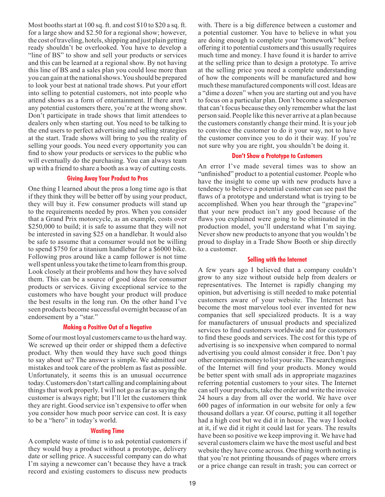Most booths start at 100 sq. ft. and cost \$10 to \$20 a sq. ft. for a large show and \$2.50 for a regional show; however, the cost of traveling, hotels, shipping and just plain getting ready shouldn't be overlooked. You have to develop a "line of BS" to show and sell your products or services and this can be learned at a regional show. By not having this line of BS and a sales plan you could lose more than you can gain at the national shows. You should be prepared to look your best at national trade shows. Put your effort into selling to potential customers, not into people who attend shows as a form of entertainment. If there aren't any potential customers there, you're at the wrong show. Don't participate in trade shows that limit attendees to dealers only when starting out. You need to be talking to the end users to perfect advertising and selling strategies at the start. Trade shows will bring to you the reality of selling your goods. You need every opportunity you can find to show your products or services to the public who will eventually do the purchasing. You can always team up with a friend to share a booth as a way of cutting costs.

#### **Giving Away Your Product to Pros**

One thing I learned about the pros a long time ago is that if they think they will be better off by using your product, they will buy it. Few consumer products will stand up to the requirements needed by pros. When you consider that a Grand Prix motorcycle, as an example, costs over \$250,000 to build; it is safe to assume that they will not be interested in saving \$25 on a handlebar. It would also be safe to assume that a consumer would not be willing to spend \$750 for a titanium handlebar for a \$6000 bike. Following pros around like a camp follower is not time well spent unless you take the time to learn from this group. Look closely at their problems and how they have solved them. This can be a source of good ideas for consumer products or services. Giving exceptional service to the customers who have bought your product will produce the best results in the long run. On the other hand I've seen products become successful overnight because of an endorsement by a "star."

#### **Making a Positive Out of a Negative**

Some of our most loyal customers came to us the hard way. We screwed up their order or shipped them a defective product. Why then would they have such good things to say about us? The answer is simple. We admitted our mistakes and took care of the problem as fast as possible. Unfortunately, it seems this is an unusual occurrence today. Customers don't start calling and complaining about things that work properly. I will not go as far as saying the customer is always right; but I'll let the customers think they are right. Good service isn't expensive to offer when you consider how much poor service can cost. It is easy to be a "hero" in today's world.

#### **Wasting Time**

A complete waste of time is to ask potential customers if they would buy a product without a prototype, delivery date or selling price. A successful company can do what I'm saying a newcomer can't because they have a track record and existing customers to discuss new products

with. There is a big difference between a customer and a potential customer. You have to believe in what you are doing enough to complete your "homework" before offering it to potential customers and this usually requires much time and money. I have found it is harder to arrive at the selling price than to design a prototype. To arrive at the selling price you need a complete understanding of how the components will be manufactured and how much these manufactured components will cost. Ideas are a "dime a dozen" when you are starting out and you have to focus on a particular plan. Don't become a salesperson that can't focus because they only remember what the last person said. People like this never arrive at a plan because the customers constantly change their mind. It is your job to convince the customer to do it your way, not to have the customer convince you to do it their way. If you're not sure why you are right, you shouldn't be doing it.

## **Don't Show a Prototype to Customers**

An error I've made several times was to show an "unfinished" product to a potential customer. People who have the insight to come up with new products have a tendency to believe a potential customer can see past the flaws of a prototype and understand what is trying to be accomplished. When you hear through the "grapevine" that your new product isn't any good because of the flaws you explained were going to be eliminated in the production model, you'll understand what I'm saying. Never show new products to anyone that you wouldn't be proud to display in a Trade Show Booth or ship directly to a customer.

# **Selling with the Internet**

A few years ago I believed that a company couldn't grow to any size without outside help from dealers or representatives. The Internet is rapidly changing my opinion, but advertising is still needed to make potential customers aware of your website. The Internet has become the most marvelous tool ever invented for new companies that sell specialized products. It is a way for manufacturers of unusual products and specialized services to find customers worldwide and for customers to find these goods and services. The cost for this type of advertising is so inexpensive when compared to normal advertising you could almost consider it free. Don't pay other companies money to list your site. The search engines of the Internet will find your products. Money would be better spent with small ads in appropriate magazines referring potential customers to your sites. The Internet can sell your products, take the order and write the invoice 24 hours a day from all over the world. We have over 600 pages of information in our website for only a few thousand dollars a year. Of course, putting it all together had a high cost but we did it in house. The way I looked at it, if we did it right it could last for years. The results have been so positive we keep improving it. We have had several customers claim we have the most useful and best website they have come across. One thing worth noting is that you're not printing thousands of pages where errors or a price change can result in trash; you can correct or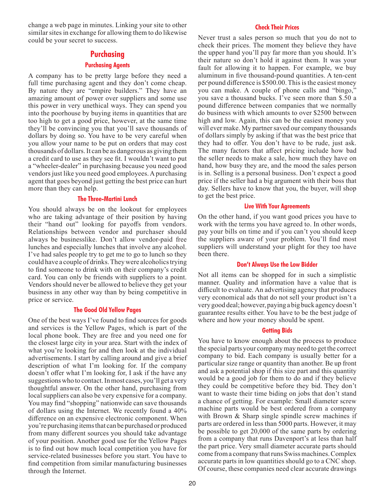<span id="page-19-0"></span>change a web page in minutes. Linking your site to other similar sites in exchange for allowing them to do likewise could be your secret to success.

# **Purchasing**

# **Purchasing Agents**

A company has to be pretty large before they need a full time purchasing agent and they don't come cheap. By nature they are "empire builders." They have an amazing amount of power over suppliers and some use this power in very unethical ways. They can spend you into the poorhouse by buying items in quantities that are too high to get a good price, however, at the same time they'll be convincing you that you'll save thousands of dollars by doing so. You have to be very careful when you allow your name to be put on orders that may cost thousands of dollars. It can be as dangerous as giving them a credit card to use as they see fit. I wouldn't want to put a "wheeler-dealer" in purchasing because you need good vendors just like you need good employees. A purchasing agent that goes beyond just getting the best price can hurt more than they can help.

# **The Three-Martini Lunch**

You should always be on the lookout for employees who are taking advantage of their position by having their "hand out" looking for payoffs from vendors. Relationships between vendor and purchaser should always be businesslike. Don't allow vendor-paid free lunches and especially lunches that involve any alcohol. I've had sales people try to get me to go to lunch so they could have a couple of drinks. They were alcoholics trying to find someone to drink with on their company's credit card. You can only be friends with suppliers to a point. Vendors should never be allowed to believe they get your business in any other way than by being competitive in price or service.

# **The Good Old Yellow Pages**

One of the best ways I've found to find sources for goods and services is the Yellow Pages, which is part of the local phone book. They are free and you need one for the closest large city in your area. Start with the index of what you're looking for and then look at the individual advertisements. I start by calling around and give a brief description of what I'm looking for. If the company doesn't offer what I'm looking for, I ask if the have any suggestions who to contact. In most cases, you'll get a very thoughtful answer. On the other hand, purchasing from local suppliers can also be very expensive for a company. You may find "shopping" nationwide can save thousands of dollars using the Internet. We recently found a 40% difference on an expensive electronic component. When you're purchasing items that can be purchased or produced from many different sources you should take advantage of your position. Another good use for the Yellow Pages is to find out how much local competition you have for service-related businesses before you start. You have to find competition from similar manufacturing businesses through the Internet.

# **Check Their Prices**

Never trust a sales person so much that you do not to check their prices. The moment they believe they have the upper hand you'll pay far more than you should. It's their nature so don't hold it against them. It was your fault for allowing it to happen. For example, we buy aluminum in five thousand-pound quantities. A ten-cent per pound difference is \$500.00. This is the easiest money you can make. A couple of phone calls and "bingo," you save a thousand bucks. I've seen more than \$.50 a pound difference between companies that we normally do business with which amounts to over \$2500 between high and low. Again, this can be the easiest money you will ever make. My partner saved our company thousands of dollars simply by asking if that was the best price that they had to offer. You don't have to be rude, just ask. The many factors that affect pricing include how bad the seller needs to make a sale, how much they have on hand, how busy they are, and the mood the sales person is in. Selling is a personal business. Don't expect a good price if the seller had a big argument with their boss that day. Sellers have to know that you, the buyer, will shop to get the best price.

# **Live With Your Agreements**

On the other hand, if you want good prices you have to work with the terms you have agreed to. In other words, pay your bills on time and if you can't you should keep the suppliers aware of your problem. You'll find most suppliers will understand your plight for they too have been there.

# **Don't Always Use the Low Bidder**

Not all items can be shopped for in such a simplistic manner. Quality and information have a value that is difficult to evaluate. An advertising agency that produces very economical ads that do not sell your product isn't a very good deal; however, paying a big buck agency doesn't guarantee results either. You have to be the best judge of where and how your money should be spent.

# **Getting Bids**

You have to know enough about the process to produce the special parts your company may need to get the correct company to bid. Each company is usually better for a particular size range or quantity than another. Be up front and ask a potential shop if this size part and this quantity would be a good job for them to do and if they believe they could be competitive before they bid. They don't want to waste their time biding on jobs that don't stand a chance of getting. For example: Small diameter screw machine parts would be best ordered from a company with Brown & Sharp single spindle screw machines if parts are ordered in less than 5000 parts. However, it may be possible to get 20,000 of the same parts by ordering from a company that runs Davenport's at less than half the part price. Very small diameter accurate parts should come from a company that runs Swiss machines. Complex accurate parts in low quantities should go to a CNC shop. Of course, these companies need clear accurate drawings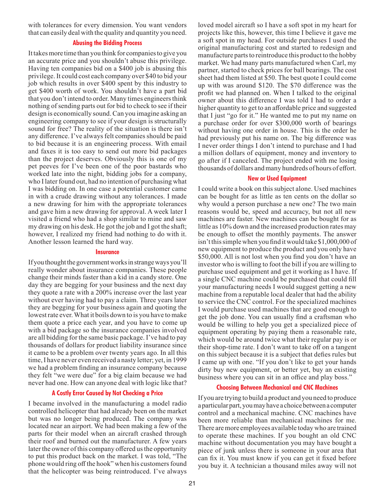with tolerances for every dimension. You want vendors that can easily deal with the quality and quantity you need.

# **Abusing the Bidding Process**

It takes more time than you think for companies to give you an accurate price and you shouldn't abuse this privilege. Having ten companies bid on a \$400 job is abusing this privilege. It could cost each company over \$40 to bid your job which results in over \$400 spent by this industry to get \$400 worth of work. You shouldn't have a part bid that you don't intend to order. Many times engineers think nothing of sending parts out for bid to check to see if their design is economically sound. Can you imagine asking an engineering company to see if your design is structurally sound for free? The reality of the situation is there isn't any difference. I've always felt companies should be paid to bid because it is an engineering process. With email and faxes it is too easy to send out more bid packages than the project deserves. Obviously this is one of my pet peeves for I've been one of the poor bastards who worked late into the night, bidding jobs for a company, who I later found out, had no intention of purchasing what I was bidding on. In one case a potential customer came in with a crude drawing without any tolerances. I made a new drawing for him with the appropriate tolerances and gave him a new drawing for approval. A week later I visited a friend who had a shop similar to mine and saw my drawing on his desk. He got the job and I got the shaft; however, I realized my friend had nothing to do with it. Another lesson learned the hard way.

#### **Insurance**

If you thought the government works in strange ways you'll really wonder about insurance companies. These people change their minds faster than a kid in a candy store. One day they are begging for your business and the next day they quote a rate with a 200% increase over the last year without ever having had to pay a claim. Three years later they are begging for your business again and quoting the lowest rate ever. What it boils down to is you have to make them quote a price each year, and you have to come up with a bid package so the insurance companies involved are all bidding for the same basic package. I've had to pay thousands of dollars for product liability insurance since it came to be a problem over twenty years ago. In all this time, I have never even received a nasty letter; yet, in 1999 we had a problem finding an insurance company because they felt "we were due" for a big claim because we had never had one. How can anyone deal with logic like that?

# **A Costly Error Caused by Not Checking a Price**

I became involved in the manufacturing a model radio controlled helicopter that had already been on the market but was no longer being produced. The company was located near an airport. We had been making a few of the parts for their model when an aircraft crashed through their roof and burned out the manufacturer. A few years later the owner of this company offered us the opportunity to put this product back on the market. I was told, "The phone would ring off the hook" when his customers found that the helicopter was being reintroduced. I've always

loved model aircraft so I have a soft spot in my heart for projects like this, however, this time I believe it gave me a soft spot in my head. For outside purchases I used the original manufacturing cost and started to redesign and manufacture parts to reintroduce this product to the hobby market. We had many parts manufactured when Carl, my partner, started to check prices for ball bearings. The cost sheet had them listed at \$50. The best quote I could come up with was around \$120. The \$70 difference was the profit we had planned on. When I talked to the original owner about this difference I was told I had to order a higher quantity to get to an affordable price and suggested that I just "go for it." He wanted me to put my name on a purchase order for over \$300,000 worth of bearings without having one order in house. This is the order he had previously put his name on. The big difference was I never order things I don't intend to purchase and I had a million dollars of equipment, money and inventory to go after if I canceled. The project ended with me losing thousands of dollars and many hundreds of hours of effort.

#### **New or Used Equipment**

I could write a book on this subject alone. Used machines can be bought for as little as ten cents on the dollar so why would a person purchase a new one? The two main reasons would be, speed and accuracy, but not all new machines are faster. New machines can be bought for as little as 10% down and the increased production rates may be enough to offset the monthly payments. The answer isn't this simple when you find it would take \$1,000,000 of new equipment to produce the product and you only have \$50,000. All is not lost when you find you don't have an investor who is willing to foot the bill if you are willing to purchase used equipment and get it working as I have. If a single CNC machine could be purchased that could fill your manufacturing needs I would suggest getting a new machine from a reputable local dealer that had the ability to service the CNC control. For the specialized machines I would purchase used machines that are good enough to get the job done. You can usually find a craftsman who would be willing to help you get a specialized piece of equipment operating by paying them a reasonable rate, which would be around twice what their regular pay is or their shop-time rate. I don't want to take off on a tangent on this subject because it is a subject that defies rules but I came up with one. "If you don't like to get your hands dirty buy new equipment, or better yet, buy an existing business where you can sit in an office and play boss."

#### **Choosing Between Mechanical and CNC Machines**

If you are trying to build a product and you need to produce a particular part, you may have a choice between a computer control and a mechanical machine. CNC machines have been more reliable than mechanical machines for me. There are more employees available today who are trained to operate these machines. If you bought an old CNC machine without documentation you may have bought a piece of junk unless there is someone in your area that can fix it. You must know if you can get it fixed before you buy it. A technician a thousand miles away will not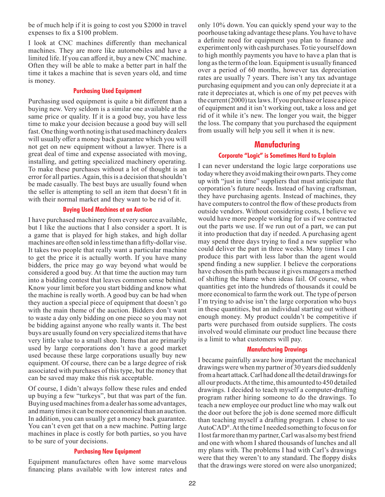<span id="page-21-0"></span>be of much help if it is going to cost you \$2000 in travel expenses to fix a \$100 problem.

I look at CNC machines differently than mechanical machines. They are more like automobiles and have a limited life. If you can afford it, buy a new CNC machine. Often they will be able to make a better part in half the time it takes a machine that is seven years old, and time is money.

# **Purchasing Used Equipment**

Purchasing used equipment is quite a bit different than a buying new. Very seldom is a similar one available at the same price or quality. If it is a good buy, you have less time to make your decision because a good buy will sell fast. One thing worth noting is that used machinery dealers will usually offer a money back guarantee which you will not get on new equipment without a lawyer. There is a great deal of time and expense associated with moving, installing, and getting specialized machinery operating. To make these purchases without a lot of thought is an error for all parties. Again, this is a decision that shouldn't be made casually. The best buys are usually found when the seller is attempting to sell an item that doesn't fit in with their normal market and they want to be rid of it.

#### **Buying Used Machines at an Auction**

I have purchased machinery from every source available, but I like the auctions that I also consider a sport. It is a game that is played for high stakes, and high dollar machines are often sold in less time than a fifty-dollar vise. It takes two people that really want a particular machine to get the price it is actually worth. If you have many bidders, the price may go way beyond what would be considered a good buy. At that time the auction may turn into a bidding contest that leaves common sense behind. Know your limit before you start bidding and know what the machine is really worth. A good buy can be had when they auction a special piece of equipment that doesn't go with the main theme of the auction. Bidders don't want to waste a day only bidding on one piece so you may not be bidding against anyone who really wants it. The best buys are usually found on very specialized items that have very little value to a small shop. Items that are primarily used by large corporations don't have a good market used because these large corporations usually buy new equipment. Of course, there can be a large degree of risk associated with purchases of this type, but the money that can be saved may make this risk acceptable.

Of course, I didn't always follow these rules and ended up buying a few "turkeys", but that was part of the fun. Buying used machines from a dealer has some advantages, and many times it can be more economical than an auction. In addition, you can usually get a money back guarantee. You can't even get that on a new machine. Putting large machines in place is costly for both parties, so you have to be sure of your decisions.

# **Purchasing New Equipment**

Equipment manufactures often have some marvelous financing plans available with low interest rates and only 10% down. You can quickly spend your way to the poorhouse taking advantage these plans. You have to have a definite need for equipment you plan to finance and experiment only with cash purchases. To tie yourself down to high monthly payments you have to have a plan that is long as the term of the loan. Equipment is usually financed over a period of 60 months, however tax depreciation rates are usually 7 years. There isn't any tax advantage purchasing equipment and you can only depreciate it at a rate it depreciates at, which is one of my pet peeves with the current (2000) tax laws. If you purchase or lease a piece of equipment and it isn't working out, take a loss and get rid of it while it's new. The longer you wait, the bigger the loss. The company that you purchased the equipment from usually will help you sell it when it is new.

# **Manufacturing**

# **Corporate "Logic" is Sometimes Hard to Explain**

I can never understand the logic large corporations use today where they avoid making their own parts. They come up with "just in time" suppliers that must anticipate that corporation's future needs. Instead of having craftsman, they have purchasing agents. Instead of machines, they have computers to control the flow of these products from outside vendors. Without considering costs, I believe we would have more people working for us if we contracted out the parts we use. If we run out of a part, we can put it into production that day if needed. A purchasing agent may spend three days trying to find a new supplier who could deliver the part in three weeks. Many times I can produce this part with less labor than the agent would spend finding a new supplier. I believe the corporations have chosen this path because it gives managers a method of shifting the blame when ideas fail. Of course, when quantities get into the hundreds of thousands it could be more economical to farm the work out. The type of person I'm trying to advise isn't the large corporation who buys in these quantities, but an individual starting out without enough money. My product couldn't be competitive if parts were purchased from outside suppliers. The costs involved would eliminate our product line because there is a limit to what customers will pay.

# **Manufacturing Drawings**

I became painfully aware how important the mechanical drawings were when my partner of 30 years died suddenly from a heart attack. Carl had done all the detail drawings for all our products. At the time, this amounted to 450 detailed drawings. I decided to teach myself a computer-drafting program rather hiring someone to do the drawings. To teach a new employee our product line who may walk out the door out before the job is done seemed more difficult than teaching myself a drafting program. I chose to use AutoCAD®. At the time I needed something to focus on for I lost far more than my partner, Carl was also my best friend and one with whom I shared thousands of lunches and all my plans with. The problems I had with Carl's drawings were that they weren't to any standard. The floppy disks that the drawings were stored on were also unorganized;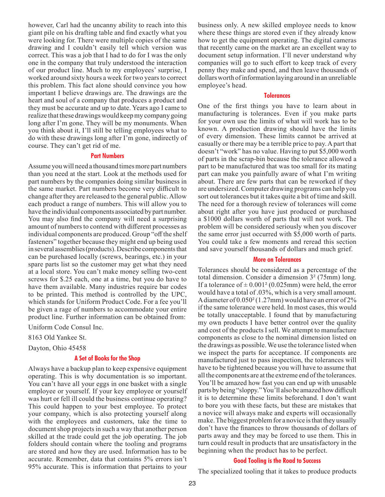however, Carl had the uncanny ability to reach into this giant pile on his drafting table and find exactly what you were looking for. There were multiple copies of the same drawing and I couldn't easily tell which version was correct. This was a job that I had to do for I was the only one in the company that truly understood the interaction of our product line. Much to my employees' surprise, I worked around sixty hours a week for two years to correct this problem. This fact alone should convince you how important I believe drawings are. The drawings are the heart and soul of a company that produces a product and they must be accurate and up to date. Years ago I came to realize that these drawings would keep my company going long after I'm gone. They will be my monuments. When you think about it, I'll still be telling employees what to do with these drawings long after I'm gone, indirectly of course. They can't get rid of me.

## **Part Numbers**

Assume you will need a thousand times more part numbers than you need at the start. Look at the methods used for part numbers by the companies doing similar business in the same market. Part numbers become very difficult to change after they are released to the general public. Allow each product a range of numbers. This will allow you to have the individual components associated by part number. You may also find the company will need a surprising amount of numbers to contend with different processes as individual components are produced. Group "off the shelf fasteners" together because they might end up being used in several assemblies (products). Describe components that can be purchased locally (screws, bearings, etc.) in your spare parts list so the customer may get what they need at a local store. You can't make money selling two-cent screws for \$.25 each, one at a time, but you do have to have them available. Many industries require bar codes to be printed. This method is controlled by the UPC, which stands for Uniform Product Code. For a fee you'll be given a rage of numbers to accommodate your entire product line. Further information can be obtained from:

Uniform Code Consul Inc.

8163 Old Yankee St.

Dayton, Ohio 45458

#### **A Set of Books for the Shop**

Always have a backup plan to keep expensive equipment operating. This is why documentation is so important. You can't have all your eggs in one basket with a single employee or yourself. If your key employee or yourself was hurt or fell ill could the business continue operating? This could happen to your best employee. To protect your company, which is also protecting yourself along with the employees and customers, take the time to document shop projects in such a way that another person skilled at the trade could get the job operating. The job folders should contain where the tooling and programs are stored and how they are used. Information has to be accurate. Remember, data that contains 5% errors isn't 95% accurate. This is information that pertains to your

business only. A new skilled employee needs to know where these things are stored even if they already know how to get the equipment operating. The digital cameras that recently came on the market are an excellent way to document setup information. I'll never understand why companies will go to such effort to keep track of every penny they make and spend, and then leave thousands of dollars worth of information laying around in an unreliable employee's head.

#### **Tolerances**

One of the first things you have to learn about in manufacturing is tolerances. Even if you make parts for your own use the limits of what will work has to be known. A production drawing should have the limits of every dimension. These limits cannot be arrived at casually or there may be a terrible price to pay. A part that doesn't "work" has no value. Having to put \$5,000 worth of parts in the scrap-bin because the tolerance allowed a part to be manufactured that was too small for its mating part can make you painfully aware of what I'm writing about. There are few parts that can be reworked if they are undersized. Computer drawing programs can help you sort out tolerances but it takes quite a bit of time and skill. The need for a thorough review of tolerances will come about right after you have just produced or purchased a \$1000 dollars worth of parts that will not work. The problem will be considered seriously when you discover the same error just occurred with \$5,000 worth of parts. You could take a few moments and reread this section and save yourself thousands of dollars and much grief.

#### **More on Tolerances**

Tolerances should be considered as a percentage of the total dimension. Consider a dimension 3² (75mm) long. If a tolerance of  $\pm$  0.001<sup>2</sup> (0.025mm) were held, the error would have a total of .03%, which is a very small amount. A diameter of 0.050² (1.27mm) would have an error of 2% if the same tolerance were held. In most cases, this would be totally unacceptable. I found that by manufacturing my own products I have better control over the quality and cost of the products I sell. We attempt to manufacture components as close to the nominal dimension listed on the drawings as possible. We use the tolerance listed when we inspect the parts for acceptance. If components are manufactured just to pass inspection, the tolerances will have to be tightened because you will have to assume that all the components are at the extreme end of the tolerances. You'll be amazed how fast you can end up with unusable parts by being "sloppy." You'll also be amazed how difficult it is to determine these limits beforehand. I don't want to bore you with these facts, but these are mistakes that a novice will always make and experts will occasionally make. The biggest problem for a novice is that they usually don't have the finances to throw thousands of dollars of parts away and they may be forced to use them. This in turn could result in products that are unsatisfactory in the beginning when the product has to be perfect.

#### **Good Tooling is the Road to Success**

The specialized tooling that it takes to produce products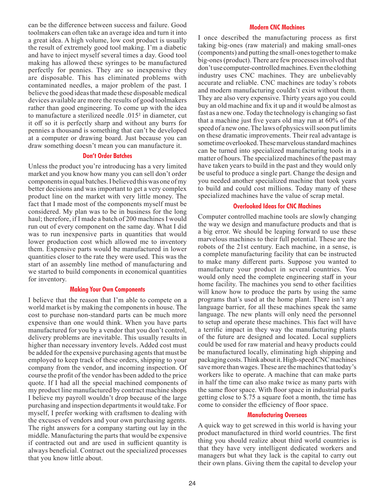can be the difference between success and failure. Good toolmakers can often take an average idea and turn it into a great idea. A high volume, low cost product is usually the result of extremely good tool making. I'm a diabetic and have to inject myself several times a day. Good tool making has allowed these syringes to be manufactured perfectly for pennies. They are so inexpensive they are disposable. This has eliminated problems with contaminated needles, a major problem of the past. I believe the good ideas that made these disposable medical devices available are more the results of good toolmakers rather than good engineering. To come up with the idea to manufacture a sterilized needle .015² in diameter, cut it off so it is perfectly sharp and without any burrs for pennies a thousand is something that can't be developed at a computer or drawing board. Just because you can draw something doesn't mean you can manufacture it.

# **Don't Order Batches**

Unless the product you're introducing has a very limited market and you know how many you can sell don't order components in equal batches. I believed this was one of my better decisions and was important to get a very complex product line on the market with very little money. The fact that I made most of the components myself must be considered. My plan was to be in business for the long haul; therefore, if I made a batch of 200 machines I would run out of every component on the same day. What I did was to run inexpensive parts in quantities that would lower production cost which allowed me to inventory them. Expensive parts would be manufactured in lower quantities closer to the rate they were used. This was the start of an assembly line method of manufacturing and we started to build components in economical quantities for inventory.

# **Making Your Own Components**

I believe that the reason that I'm able to compete on a world market is by making the components in house. The cost to purchase non-standard parts can be much more expensive than one would think. When you have parts manufactured for you by a vendor that you don't control, delivery problems are inevitable. This usually results in higher than necessary inventory levels. Added cost must be added for the expensive purchasing agents that must be employed to keep track of these orders, shipping to your company from the vendor, and incoming inspection. Of course the profit of the vendor has been added to the price quote. If I had all the special machined components of my product line manufactured by contract machine shops I believe my payroll wouldn't drop because of the large purchasing and inspection departments it would take. For myself, I prefer working with craftsmen to dealing with the excuses of vendors and your own purchasing agents. The right answers for a company starting out lay in the middle. Manufacturing the parts that would be expensive if contracted out and are used in sufficient quantity is always beneficial. Contract out the specialized processes that you know little about.

# **Modern CNC Machines**

I once described the manufacturing process as first taking big-ones (raw material) and making small-ones (components) and putting the small-ones together to make big-ones (product). There are few processes involved that don't use computer-controlled machines. Even the clothing industry uses CNC machines. They are unbelievably accurate and reliable. CNC machines are today's robots and modern manufacturing couldn't exist without them. They are also very expensive. Thirty years ago you could buy an old machine and fix it up and it would be almost as fast as a new one. Today the technology is changing so fast that a machine just five years old may run at 60% of the speed of a new one. The laws of physics will soon put limits on these dramatic improvements. Their real advantage is sometime overlooked. These marvelous standard machines can be turned into specialized manufacturing tools in a matter of hours. The specialized machines of the past may have taken years to build in the past and they would only be useful to produce a single part. Change the design and you needed another specialized machine that took years to build and could cost millions. Today many of these specialized machines have the value of scrap metal.

# **Overlooked Ideas for CNC Machines**

Computer controlled machine tools are slowly changing the way we design and manufacture products and that is a big error. We should be leaping forward to use these marvelous machines to their full potential. These are the robots of the 21st century. Each machine, in a sense, is a complete manufacturing facility that can be instructed to make many different parts. Suppose you wanted to manufacture your product in several countries. You would only need the complete engineering staff in your home facility. The machines you send to other facilities will know how to produce the parts by using the same programs that's used at the home plant. There isn't any language barrier, for all these machines speak the same language. The new plants will only need the personnel to setup and operate these machines. This fact will have a terrific impact in they way the manufacturing plants of the future are designed and located. Local suppliers could be used for raw material and heavy products could be manufactured locally, eliminating high shipping and packaging costs. Think about it. High-speed CNC machines save more than wages. These are the machines that today's workers like to operate. A machine that can make parts in half the time can also make twice as many parts with the same floor space. With floor space in industrial parks getting close to \$.75 a square foot a month, the time has come to consider the efficiency of floor space.

#### **Manufacturing Overseas**

A quick way to get screwed in this world is having your product manufactured in third world countries. The first thing you should realize about third world countries is that they have very intelligent dedicated workers and managers but what they lack is the capital to carry out their own plans. Giving them the capital to develop your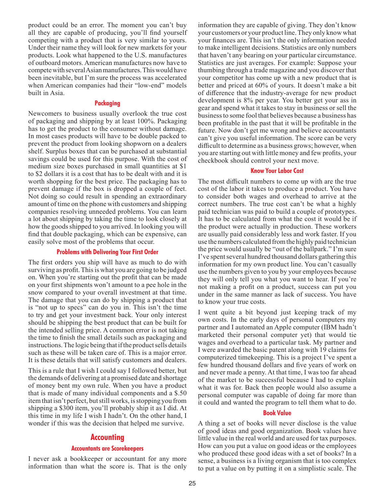<span id="page-24-0"></span>product could be an error. The moment you can't buy all they are capable of producing, you'll find yourself competing with a product that is very similar to yours. Under their name they will look for new markets for your products. Look what happened to the U.S. manufactures of outboard motors. American manufactures now have to compete with several Asian manufactures. This would have been inevitable, but I'm sure the process was accelerated when American companies had their "low-end" models built in Asia.

#### **Packaging**

Newcomers to business usually overlook the true cost of packaging and shipping by at least 100%. Packaging has to get the product to the consumer without damage. In most cases products will have to be double packed to prevent the product from looking shopworn on a dealers shelf. Surplus boxes that can be purchased at substantial savings could be used for this purpose. With the cost of medium size boxes purchased in small quantities at \$1 to \$2 dollars it is a cost that has to be dealt with and it is worth shopping for the best price. The packaging has to prevent damage if the box is dropped a couple of feet. Not doing so could result in spending an extraordinary amount of time on the phone with customers and shipping companies resolving unneeded problems. You can learn a lot about shipping by taking the time to look closely at how the goods shipped to you arrived. In looking you will find that double packaging, which can be expensive, can easily solve most of the problems that occur.

#### **Problems with Delivering Your First Order**

The first orders you ship will have as much to do with surviving as profit. This is what you are going to be judged on. When you're starting out the profit that can be made on your first shipments won't amount to a pee hole in the snow compared to your overall investment at that time. The damage that you can do by shipping a product that is "not up to specs" can do you in. This isn't the time to try and get your investment back. Your only interest should be shipping the best product that can be built for the intended selling price. A common error is not taking the time to finish the small details such as packaging and instructions. The logic being that if the product sells details such as these will be taken care of. This is a major error. It is these details that will satisfy customers and dealers.

This is a rule that I wish I could say I followed better, but the demands of delivering at a promised date and shortage of money bent my own rule. When you have a product that is made of many individual components and a \$.50 item that isn't perfect, but still works, is stopping you from shipping a \$300 item, you'll probably ship it as I did. At this time in my life I wish I hadn't. On the other hand, I wonder if this was the decision that helped me survive.

# **Accounting**

#### **Accountants are Scorekeepers**

I never ask a bookkeeper or accountant for any more information than what the score is. That is the only information they are capable of giving. They don't know your customers or your product line. They only know what your finances are. This isn't the only information needed to make intelligent decisions. Statistics are only numbers that haven't any bearing on your particular circumstance. Statistics are just averages. For example: Suppose your thumbing through a trade magazine and you discover that your competitor has come up with a new product that is better and priced at 60% of yours. It doesn't make a bit of difference that the industry-average for new product development is 8% per year. You better get your ass in gear and spend what it takes to stay in business or sell the business to some fool that believes because a business has been profitable in the past that it will be profitable in the future. Now don't get me wrong and believe accountants can't give you useful information. The score can be very difficult to determine as a business grows; however, when you are starting out with little money and few profits, your checkbook should control your next move.

## **Know Your Labor Cost**

The most difficult numbers to come up with are the true cost of the labor it takes to produce a product. You have to consider both wages and overhead to arrive at the correct numbers. The true cost can't be what a highly paid technician was paid to build a couple of prototypes. It has to be calculated from what the cost it would be if the product were actually in production. These workers are usually paid considerably less and work faster. If you use the numbers calculated from the highly paid technician the price would usually be "out of the ballpark." I'm sure I've spent several hundred thousand dollars gathering this information for my own product line. You can't casually use the numbers given to you by your employees because they will only tell you what you want to hear. If you're not making a profit on a product, success can put you under in the same manner as lack of success. You have to know your true costs.

I went quite a bit beyond just keeping track of my own costs. In the early days of personal computers my partner and I automated an Apple computer (IBM hadn't marketed their personal computer yet) that would tie wages and overhead to a particular task. My partner and I were awarded the basic patent along with 19 claims for computerized timekeeping. This is a project I've spent a few hundred thousand dollars and five years of work on and never made a penny. At that time, I was too far ahead of the market to be successful because I had to explain what it was for. Back then people would also assume a personal computer was capable of doing far more than it could and wanted the program to tell them what to do.

#### **Book Value**

A thing a set of books will never disclose is the value of good ideas and good organization. Book values have little value in the real world and are used for tax purposes. How can you put a value on good ideas or the employees who produced these good ideas with a set of books? In a sense, a business is a living organism that is too complex to put a value on by putting it on a simplistic scale. The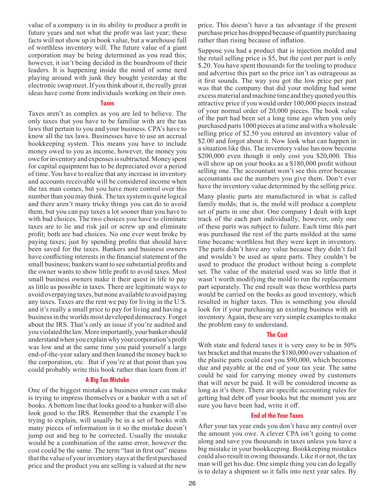value of a company is in its ability to produce a profit in future years and not what the profit was last year; these facts will not show up in book value, but a warehouse full of worthless inventory will. The future value of a giant corporation may be being determined as you read this; however, it isn't being decided in the boardroom of their leaders. It is happening inside the mind of some nerd playing around with junk they bought yesterday at the electronic swap meet. If you think about it, the really great ideas have come from individuals working on their own.

#### **Taxes**

Taxes aren't as complex as you are led to believe. The only taxes that you have to be familiar with are the tax laws that pertain to you and your business. CPA's have to know all the tax laws. Businesses have to use an accrual bookkeeping system. This means you have to include money owed to you as income, however, the money you owe for inventory and expenses is subtracted. Money spent for capital equipment has to be depreciated over a period of time. You have to realize that any increase in inventory and accounts receivable will be considered income when the tax man comes, but you have more control over this number than you may think. The tax system is quite logical and there aren't many tricky things you can do to avoid them, but you can pay taxes a lot sooner than you have to with bad choices. The two choices you have to eliminate taxes are to lie and risk jail or screw up and eliminate profit; both are bad choices. No one ever went broke by paying taxes; just by spending profits that should have been saved for the taxes. Bankers and business owners have conflicting interests in the financial statement of the small business; bankers want to see substantial profits and the owner wants to show little profit to avoid taxes. Most small business owners make it their quest in life to pay as little as possible in taxes. There are legitimate ways to avoid overpaying taxes, but none available to avoid paying any taxes. Taxes are the rent we pay for living in the U.S. and it's really a small price to pay for living and having a business in the worlds most developed democracy. Forget about the IRS. That's only an issue if you're audited and you violated the law. More importantly, your banker should understand when you explain why your corporation's profit was low and at the same time you paid yourself a large end-of-the-year salary and then loaned the money back to the corporation, etc. But if you're at that point than you could probably write this book rather than learn from it!

# **A Big Tax Mistake**

One of the biggest mistakes a business owner can make is trying to impress themselves or a banker with a set of books. A bottom line that looks good to a banker will also look good to the IRS. Remember that the example I'm trying to explain, will usually be in a set of books with many pieces of information in it so the mistake doesn't jump out and beg to be corrected. Usually the mistake would be a combination of the same error, however the cost could be the same. The term "last in first out" means that the value of your inventory stays at the first purchased price and the product you are selling is valued at the new

price. This doesn't have a tax advantage if the present purchase price has dropped because of quantity purchasing rather than rising because of inflation.

Suppose you had a product that is injection molded and the retail selling price is \$5, but the cost per part is only \$.20. You have spent thousands for the tooling to produce and advertise this part so the price isn't as outrageous as it first sounds. The way you got the low price per part was that the company that did your molding had some excess material and machine time and they quoted you this attractive price if you would order 100,000 pieces instead of your normal order of 20,000 pieces. The book value of the part had been set a long time ago when you only purchased parts 1000 pieces at a time and with a wholesale selling price of \$2.50 you entered an inventory value of \$2.00 and forgot about it. Now look what can happen in a situation like this. The inventory value has now become \$200,000 even though it only cost you \$20,000. This will show up on your books as a \$180,000 profit without selling one. The accountant won't see this error because accountants use the numbers you give them. Don't ever have the inventory value determined by the selling price.

Many plastic parts are manufactured in what is called family molds; that is, the mold will produce a complete set of parts in one shot. One company I dealt with kept track of the each part individually; however, only one of these parts was subject to failure. Each time this part was purchased the rest of the parts molded at the same time became worthless but they were kept in inventory. The parts didn't have any value because they didn't fail and wouldn't be used as spare parts. They couldn't be used to produce the product without being a complete set. The value of the material used was so little that it wasn't worth modifying the mold to run the replacement part separately. The end result was these worthless parts would be carried on the books as good inventory, which resulted in higher taxes. This is something you should look for if your purchasing an existing business with an inventory. Again, these are very simple examples to make the problem easy to understand.

# **The Cost**

With state and federal taxes it is very easy to be in 50% tax bracket and that means the \$180,000 over valuation of the plastic parts could cost you \$90,000, which becomes due and payable at the end of your tax year. The same could be said for carrying money owed by customers that will never be paid. It will be considered income as long as it's there. There are specific accounting rules for getting bad debt off your books but the moment you are sure you have been had, write it off.

#### **End of the Year Taxes**

After your tax year ends you don't have any control over the amount you owe. A clever CPA isn't going to come along and save you thousands in taxes unless you have a big mistake in your bookkeeping. Bookkeeping mistakes could also result in owing thousands. Like it or not, the tax man will get his due. One simple thing you can do legally is to delay a shipment so it falls into next year sales. By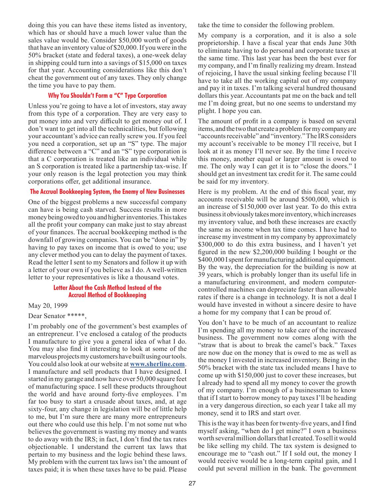doing this you can have these items listed as inventory, which has or should have a much lower value than the sales value would be. Consider \$50,000 worth of goods that have an inventory value of \$20,000. If you were in the 50% bracket (state and federal taxes), a one-week delay in shipping could turn into a savings of \$15,000 on taxes for that year. Accounting considerations like this don't cheat the government out of any taxes. They only change the time you have to pay them.

# **Why You Shouldn't Form a "C" Type Corporation**

Unless you're going to have a lot of investors, stay away from this type of a corporation. They are very easy to put money into and very difficult to get money out of. I don't want to get into all the technicalities, but following your accountant's advice can really screw you. If you feel you need a corporation, set up an "S" type. The major difference between a "C" and an "S" type corporation is that a C corporation is treated like an individual while an S corporation is treated like a partnership tax-wise. If your only reason is the legal protection you may think corporations offer, get additional insurance.

# **The Accrual Bookkeeping System, the Enemy of New Businesses**

One of the biggest problems a new successful company can have is being cash starved. Success results in more money being owed to you and higher inventories. This takes all the profit your company can make just to stay abreast of your finances. The accrual bookkeeping method is the downfall of growing companies. You can be "done in" by having to pay taxes on income that is owed to you; use any clever method you can to delay the payment of taxes. Read the letter I sent to my Senators and follow it up with a letter of your own if you believe as I do. A well-written letter to your representatives is like a thousand votes.

# **Letter About the Cash Method Instead of the Accrual Method of Bookkeeping**

May 20, 1999

#### Dear Senator \*\*\*\*\*,

I'm probably one of the government's best examples of an entrepreneur. I've enclosed a catalog of the products I manufacture to give you a general idea of what I do. You may also find it interesting to look at some of the marvelous projects my customers have built using our tools. You could also look at our website at **[www.sherline.com](http://sherline.com/)**. I manufacture and sell products that I have designed. I started in my garage and now have over 50,000 square feet of manufacturing space. I sell these products throughout the world and have around forty-five employees. I'm far too busy to start a crusade about taxes, and, at age sixty-four, any change in legislation will be of little help to me, but I'm sure there are many more entrepreneurs out there who could use this help. I'm not some nut who believes the government is wasting my money and wants to do away with the IRS; in fact, I don't find the tax rates objectionable. I understand the current tax laws that pertain to my business and the logic behind these laws. My problem with the current tax laws isn't the amount of taxes paid; it is when these taxes have to be paid. Please

take the time to consider the following problem.

My company is a corporation, and it is also a sole proprietorship. I have a fiscal year that ends June 30th to eliminate having to do personal and corporate taxes at the same time. This last year has been the best ever for my company, and I'm finally realizing my dream. Instead of rejoicing, I have the usual sinking feeling because I'll have to take all the working capital out of my company and pay it in taxes. I'm talking several hundred thousand dollars this year. Accountants pat me on the back and tell me I'm doing great, but no one seems to understand my plight. I hope you can.

The amount of profit in a company is based on several items, and the two that create a problem for my company are "accounts receivable" and "inventory." The IRS considers my account's receivable to be money I'll receive, but I look at it as money I'll never see. By the time I receive this money, another equal or larger amount is owed to me. The only way I can get it is to "close the doors." I should get an investment tax credit for it. The same could be said for my inventory.

Here is my problem. At the end of this fiscal year, my accounts receivable will be around \$500,000, which is an increase of \$150,000 over last year. To do this extra business it obviously takes more inventory, which increases my inventory value, and both these increases are exactly the same as income when tax time comes. I have had to increase my investment in my company by approximately \$300,000 to do this extra business, and I haven't yet figured in the new \$2,200,000 building I bought or the \$400,000 I spent for manufacturing additional equipment. By the way, the depreciation for the building is now at 39 years, which is probably longer than its useful life in a manufacturing environment, and modern computercontrolled machines can depreciate faster than allowable rates if there is a change in technology. It is not a deal I would have invested in without a sincere desire to have a home for my company that I can be proud of.

You don't have to be much of an accountant to realize I'm spending all my money to take care of the increased business. The government now comes along with the "straw that is about to break the camel's back." Taxes are now due on the money that is owed to me as well as the money I invested in increased inventory. Being in the 50% bracket with the state tax included means I have to come up with \$150,000 just to cover these increases, but I already had to spend all my money to cover the growth of my company. I'm enough of a businessman to know that if I start to borrow money to pay taxes I'll be heading in a very dangerous direction, so each year I take all my money, send it to IRS and start over.

This is the way it has been for twenty-five years, and I find myself asking, "when do I get mine?" I own a business worth several million dollars that I created. To sell it would be like selling my child. The tax system is designed to encourage me to "cash out." If I sold out, the money I would receive would be a long-term capital gain, and I could put several million in the bank. The government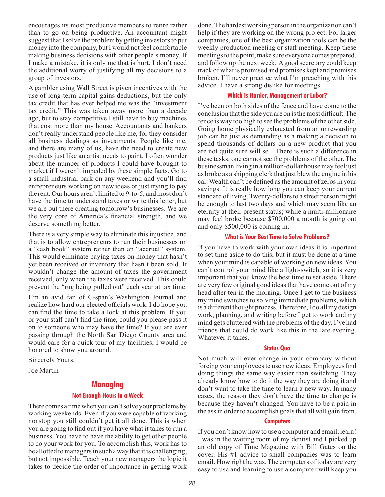<span id="page-27-0"></span>encourages its most productive members to retire rather than to go on being productive. An accountant might suggest that I solve the problem by getting investors to put money into the company, but I would not feel comfortable making business decisions with other people's money. If I make a mistake, it is only me that is hurt. I don't need the additional worry of justifying all my decisions to a group of investors.

A gambler using Wall Street is given incentives with the use of long-term capital gains deductions, but the only tax credit that has ever helped me was the "investment tax credit." This was taken away more than a decade ago, but to stay competitive I still have to buy machines that cost more than my house. Accountants and bankers don't really understand people like me, for they consider all business dealings as investments. People like me, and there are many of us, have the need to create new products just like an artist needs to paint. I often wonder about the number of products I could have brought to market if I weren't impeded by these simple facts. Go to a small industrial park on any weekend and you'll find entrepreneurs working on new ideas or just trying to pay the rent. Our hours aren't limited to 9-to-5, and most don't have the time to understand taxes or write this letter, but we are out there creating tomorrow's businesses. We are the very core of America's financial strength, and we deserve something better.

There is a very simple way to eliminate this injustice, and that is to allow entrepreneurs to run their businesses on a "cash book" system rather than an "accrual" system. This would eliminate paying taxes on money that hasn't yet been received or inventory that hasn't been sold. It wouldn't change the amount of taxes the government received, only when the taxes were received. This could prevent the "rug being pulled out" each year at tax time.

I'm an avid fan of C-span's Washington Journal and realize how hard our elected officials work. I do hope you can find the time to take a look at this problem. If you or your staff can't find the time, could you please pass it on to someone who may have the time? If you are ever passing through the North San Diego County area and would care for a quick tour of my facilities, I would be honored to show you around.

Sincerely Yours,

Joe Martin

# **Managing**

# **Not Enough Hours in a Week**

There comes a time when you can't solve your problems by working weekends. Even if you were capable of working nonstop you still couldn't get it all done. This is when you are going to find out if you have what it takes to run a business. You have to have the ability to get other people to do your work for you. To accomplish this, work has to be allotted to managers in such a way that it is challenging, but not impossible. Teach your new managers the logic it takes to decide the order of importance in getting work done. The hardest working person in the organization can't help if they are working on the wrong project. For larger companies, one of the best organization tools can be the weekly production meeting or staff meeting. Keep these meetings to the point, make sure everyone comes prepared, and follow up the next week. A good secretary could keep track of what is promised and promises kept and promises broken. I'll never practice what I'm preaching with this advice. I have a strong dislike for meetings.

# **Which is Harder, Management or Labor?**

I've been on both sides of the fence and have come to the conclusion that the side you are on is the most difficult. The fence is way too high to see the problems of the other side. Going home physically exhausted from an unrewarding job can be just as demanding as a making a decision to spend thousands of dollars on a new product that you are not quite sure will sell. There is such a difference in these tasks; one cannot see the problems of the other. The businessman living in a million-dollar house may feel just as broke as a shipping clerk that just blew the engine in his car. Wealth can't be defined as the amount of zeros in your savings. It is really how long you can keep your current standard of living. Twenty-dollars to a street person might be enough to last two days and which may seem like an eternity at their present status; while a multi-millionaire may feel broke because \$700,000 a month is going out and only \$500,000 is coming in.

# **What is Your Best Time to Solve Problems?**

If you have to work with your own ideas it is important to set time aside to do this, but it must be done at a time when your mind is capable of working on new ideas. You can't control your mind like a light-switch, so it is very important that you know the best time to set aside. There are very few original good ideas that have come out of my head after ten in the morning. Once I get to the business my mind switches to solving immediate problems, which is a different thought process. Therefore, I do all my design work, planning, and writing before I get to work and my mind gets cluttered with the problems of the day. I've had friends that could do work like this in the late evening. Whatever it takes.

#### **Status Quo**

Not much will ever change in your company without forcing your employees to use new ideas. Employees find doing things the same way easier than switching. They already know how to do it the way they are doing it and don't want to take the time to learn a new way. In many cases, the reason they don't have the time to change is because they haven't changed. You have to be a pain in the ass in order to accomplish goals that all will gain from.

#### **Computers**

If you don't know how to use a computer and email, learn! I was in the waiting room of my dentist and I picked up an old copy of Time Magazine with Bill Gates on the cover. His #1 advice to small companies was to learn email. How right he was. The computers of today are very easy to use and learning to use a computer will keep you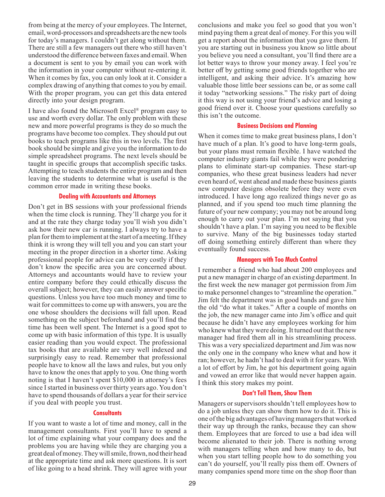from being at the mercy of your employees. The Internet, email, word-processors and spreadsheets are the new tools for today's managers. I couldn't get along without them. There are still a few managers out there who still haven't understood the difference between faxes and email. When a document is sent to you by email you can work with the information in your computer without re-entering it. When it comes by fax, you can only look at it. Consider a complex drawing of anything that comes to you by email. With the proper program, you can get this data entered directly into your design program.

I have also found the Microsoft Excel® program easy to use and worth every dollar. The only problem with these new and more powerful programs is they do so much the programs have become too complex. They should put out books to teach programs like this in two levels. The first book should be simple and give you the information to do simple spreadsheet programs. The next levels should be taught in specific groups that accomplish specific tasks. Attempting to teach students the entire program and then leaving the students to determine what is useful is the common error made in writing these books.

# **Dealing with Accountants and Attorneys**

Don't get in BS sessions with your professional friends when the time clock is running. They'll charge you for it and at the rate they charge today you'll wish you didn't ask how their new car is running. I always try to have a plan for them to implement at the start of a meeting. If they think it is wrong they will tell you and you can start your meeting in the proper direction in a shorter time. Asking professional people for advice can be very costly if they don't know the specific area you are concerned about. Attorneys and accountants would have to review your entire company before they could ethically discuss the overall subject; however, they can easily answer specific questions. Unless you have too much money and time to wait for committees to come up with answers, you are the one whose shoulders the decisions will fall upon. Read something on the subject beforehand and you'll find the time has been well spent. The Internet is a good spot to come up with basic information of this type. It is usually easier reading than you would expect. The professional tax books that are available are very well indexed and surprisingly easy to read. Remember that professional people have to know all the laws and rules, but you only have to know the ones that apply to you. One thing worth noting is that I haven't spent \$10,000 in attorney's fees since I started in business over thirty years ago. You don't have to spend thousands of dollars a year for their service if you deal with people you trust.

#### **Consultants**

If you want to waste a lot of time and money, call in the management consultants. First you'll have to spend a lot of time explaining what your company does and the problems you are having while they are charging you a great deal of money. They will smile, frown, nod their head at the appropriate time and ask more questions. It is sort of like going to a head shrink. They will agree with your

conclusions and make you feel so good that you won't mind paying them a great deal of money. For this you will get a report about the information that you gave them. If you are starting out in business you know so little about you believe you need a consultant, you'll find there are a lot better ways to throw your money away. I feel you're better off by getting some good friends together who are intelligent, and asking their advice. It's amazing how valuable those little beer sessions can be, or as some call it today "networking sessions." The risky part of doing it this way is not using your friend's advice and losing a good friend over it. Choose your questions carefully so this isn't the outcome.

# **Business Decisions and Planning**

When it comes time to make great business plans, I don't have much of a plan. It's good to have long-term goals, but your plans must remain flexible. I have watched the computer industry giants fail while they were pondering plans to eliminate start-up companies. These start-up companies, who these great business leaders had never even heard of, went ahead and made these business giants new computer designs obsolete before they were even introduced. I have long ago realized things never go as planned, and if you spend too much time planning the future of your new company; you may not be around long enough to carry out your plan. I'm not saying that you shouldn't have a plan. I'm saying you need to be flexible to survive. Many of the big businesses today started off doing something entirely different than where they eventually found success.

#### **Managers with Too Much Control**

I remember a friend who had about 200 employees and put a new manager in charge of an existing department. In the first week the new manager got permission from Jim to make personnel changes to "streamline the operation." Jim felt the department was in good hands and gave him the old "do what it takes." After a couple of months on the job, the new manager came into Jim's office and quit because he didn't have any employees working for him who knew what they were doing. It turned out that the new manager had fired them all in his streamlining process. This was a very specialized department and Jim was now the only one in the company who knew what and how it ran; however, he hadn't had to deal with it for years. With a lot of effort by Jim, he got his department going again and vowed an error like that would never happen again. I think this story makes my point.

# **Don't Tell Them, Show Them**

Managers or supervisors shouldn't tell employees how to do a job unless they can show them how to do it. This is one of the big advantages of having managers that worked their way up through the ranks, because they can show them. Employees that are forced to use a bad idea will become alienated to their job. There is nothing wrong with managers telling when and how many to do, but when you start telling people how to do something you can't do yourself, you'll really piss them off. Owners of many companies spend more time on the shop floor than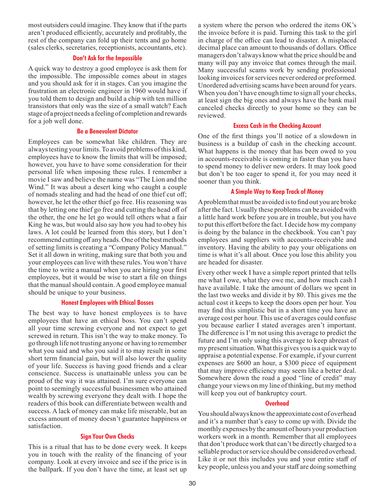most outsiders could imagine. They know that if the parts aren't produced efficiently, accurately and profitably, the rest of the company can fold up their tents and go home (sales clerks, secretaries, receptionists, accountants, etc).

# **Don't Ask for the Impossible**

A quick way to destroy a good employee is ask them for the impossible. The impossible comes about in stages and you should ask for it in stages. Can you imagine the frustration an electronic engineer in 1960 would have if you told them to design and build a chip with ten million transistors that only was the size of a small watch? Each stage of a project needs a feeling of completion and rewards for a job well done.

#### **Be a Benevolent Dictator**

Employees can be somewhat like children. They are always testing your limits. To avoid problems of this kind, employees have to know the limits that will be imposed; however, you have to have some consideration for their personal life when imposing these rules. I remember a movie I saw and believe the name was "The Lion and the Wind." It was about a desert king who caught a couple of nomads stealing and had the head of one thief cut off; however, he let the other thief go free. His reasoning was that by letting one thief go free and cutting the head off of the other, the one he let go would tell others what a fair King he was, but would also say how you had to obey his laws. A lot could be learned from this story, but I don't recommend cutting off any heads. One of the best methods of setting limits is creating a "Company Policy Manual." Set it all down in writing, making sure that both you and your employees can live with these rules. You won't have the time to write a manual when you are hiring your first employees, but it would be wise to start a file on things that the manual should contain. A good employee manual should be unique to your business.

# **Honest Employees with Ethical Bosses**

The best way to have honest employees is to have employees that have an ethical boss. You can't spend all your time screwing everyone and not expect to get screwed in return. This isn't the way to make money. To go through life not trusting anyone or having to remember what you said and who you said it to may result in some short term financial gain, but will also lower the quality of your life. Success is having good friends and a clear conscience. Success is unattainable unless you can be proud of the way it was attained. I'm sure everyone can point to seemingly successful businessmen who attained wealth by screwing everyone they dealt with. I hope the readers of this book can differentiate between wealth and success. A lack of money can make life miserable, but an excess amount of money doesn't guarantee happiness or satisfaction.

# **Sign Your Own Checks**

This is a ritual that has to be done every week. It keeps you in touch with the reality of the financing of your company. Look at every invoice and see if the price is in the ballpark. If you don't have the time, at least set up a system where the person who ordered the items OK's the invoice before it is paid. Turning this task to the girl in charge of the office can lead to disaster. A misplaced decimal place can amount to thousands of dollars. Office managers don't always know what the price should be and many will pay any invoice that comes through the mail. Many successful scams work by sending professional looking invoices for services never ordered or preformed. Unordered advertising scams have been around for years. When you don't have enough time to sign all your checks, at least sign the big ones and always have the bank mail canceled checks directly to your home so they can be reviewed.

#### **Excess Cash in the Checking Account**

One of the first things you'll notice of a slowdown in business is a buildup of cash in the checking account. What happens is the money that has been owed to you in accounts-receivable is coming in faster than you have to spend money to deliver new orders. It may look good but don't be too eager to spend it, for you may need it sooner than you think.

#### **A Simple Way to Keep Track of Money**

A problem that must be avoided is to find out you are broke after the fact. Usually these problems can be avoided with a little hard work before you are in trouble, but you have to put this effort before the fact. I decide how my company is doing by the balance in the checkbook. You can't pay employees and suppliers with accounts-receivable and inventory. Having the ability to pay your obligations on time is what it's all about. Once you lose this ability you are headed for disaster.

Every other week I have a simple report printed that tells me what I owe, what they owe me, and how much cash I have available. I take the amount of dollars we spent in the last two weeks and divide it by 80. This gives me the actual cost it keeps to keep the doors open per hour. You may find this simplistic but in a short time you have an average cost per hour. This use of averages could confuse you because earlier I stated averages aren't important. The difference is I'm not using this average to predict the future and I'm only using this average to keep abreast of my present situation. What this gives you is a quick way to appraise a potential expense. For example, if your current expenses are \$600 an hour, a \$300 piece of equipment that may improve efficiency may seem like a better deal. Somewhere down the road a good "line of credit" may change your views on my line of thinking, but my method will keep you out of bankruptcy court.

# **Overhead**

You should always know the approximate cost of overhead and it's a number that's easy to come up with. Divide the monthly expenses by the amount of hours your production workers work in a month. Remember that all employees that don't produce work that can't be directly charged to a sellable product or service should be considered overhead. Like it or not this includes you and your entire staff of key people, unless you and your staff are doing something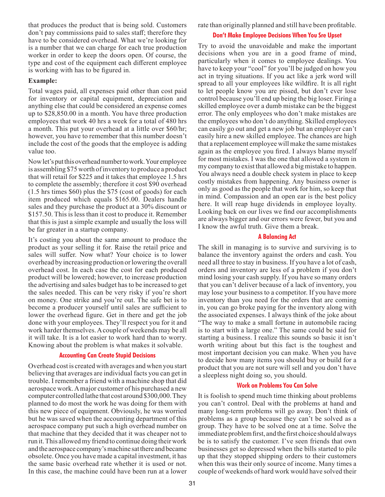that produces the product that is being sold. Customers don't pay commissions paid to sales staff; therefore they have to be considered overhead. What we're looking for is a number that we can charge for each true production worker in order to keep the doors open. Of course, the type and cost of the equipment each different employee is working with has to be figured in.

# **Example:**

Total wages paid, all expenses paid other than cost paid for inventory or capital equipment, depreciation and anything else that could be considered an expense comes up to \$28,850.00 in a month. You have three production employees that work 40 hrs a week for a total of 480 hrs a month. This put your overhead at a little over \$60/hr; however, you have to remember that this number doesn't include the cost of the goods that the employee is adding value too.

Now let's put this overhead number to work. Your employee is assembling \$75 worth of inventory to produce a product that will retail for \$225 and it takes that employee 1.5 hrs to complete the assembly; therefore it cost \$90 overhead (1.5 hrs times \$60) plus the \$75 (cost of goods) for each item produced which equals \$165.00. Dealers handle sales and they purchase the product at a 30% discount or \$157.50. This is less than it cost to produce it. Remember that this is just a simple example and usually the loss will be far greater in a startup company.

It's costing you about the same amount to produce the product as your selling it for. Raise the retail price and sales will suffer. Now what? Your choice is to lower overhead by increasing production or lowering the overall overhead cost. In each case the cost for each produced product will be lowered; however, to increase production the advertising and sales budget has to be increased to get the sales needed. This can be very risky if you're short on money. One strike and you're out. The safe bet is to become a producer yourself until sales are sufficient to lower the overhead figure. Get in there and get the job done with your employees. They'll respect you for it and work harder themselves. A couple of weekends may be all it will take. It is a lot easier to work hard than to worry. Knowing about the problem is what makes it solvable.

# **Accounting Can Create Stupid Decisions**

Overhead cost is created with averages and when you start believing that averages are individual facts you can get in trouble. I remember a friend with a machine shop that did aerospace work. A major customer of his purchased a new computer controlled lathe that cost around \$300,000. They planned to do most the work he was doing for them with this new piece of equipment. Obviously, he was worried but he was saved when the accounting department of this aerospace company put such a high overhead number on that machine that they decided that it was cheaper not to run it. This allowed my friend to continue doing their work and the aerospace company's machine sat there and became obsolete. Once you have made a capital investment, it has the same basic overhead rate whether it is used or not. In this case, the machine could have been run at a lower

rate than originally planned and still have been profitable.

# **Don't Make Employee Decisions When You Sre Upset**

Try to avoid the unavoidable and make the important decisions when you are in a good frame of mind, particularly when it comes to employee dealings. You have to keep your "cool" for you'll be judged on how you act in trying situations. If you act like a jerk word will spread to all your employees like wildfire. It is all right to let people know you are pissed, but don't ever lose control because you'll end up being the big loser. Firing a skilled employee over a dumb mistake can be the biggest error. The only employees who don't make mistakes are the employees who don't do anything. Skilled employees can easily go out and get a new job but an employer can't easily hire a new skilled employee. The chances are high that a replacement employee will make the same mistakes again as the employee you fired. I always blame myself for most mistakes. I was the one that allowed a system in my company to exist that allowed a big mistake to happen. You always need a double check system in place to keep costly mistakes from happening. Any business owner is only as good as the people that work for him, so keep that in mind. Compassion and an open ear is the best policy here. It will reap huge dividends in employee loyalty. Looking back on our lives we find our accomplishments are always bigger and our errors were fewer, but you and I know the awful truth. Give them a break.

# **A Balancing Act**

The skill in managing is to survive and surviving is to balance the inventory against the orders and cash. You need all three to stay in business. If you have a lot of cash, orders and inventory are less of a problem if you don't mind losing your cash supply. If you have so many orders that you can't deliver because of a lack of inventory, you may lose your business to a competitor. If you have more inventory than you need for the orders that are coming in, you can go broke paying for the inventory along with the associated expenses. I always think of the joke about "The way to make a small fortune in automobile racing is to start with a large one." The same could be said for starting a business. I realize this sounds so basic it isn't worth writing about but this fact is the toughest and most important decision you can make. When you have to decide how many items you should buy or build for a product that you are not sure will sell and you don't have a sleepless night doing so, you should.

# **Work on Problems You Can Solve**

It is foolish to spend much time thinking about problems you can't control. Deal with the problems at hand and many long-term problems will go away. Don't think of problems as a group because they can't be solved as a group. They have to be solved one at a time. Solve the immediate problem first, and the first choice should always be is to satisfy the customer. I've seen friends that own businesses get so depressed when the bills started to pile up that they stopped shipping orders to their customers when this was their only source of income. Many times a couple of weekends of hard work would have solved their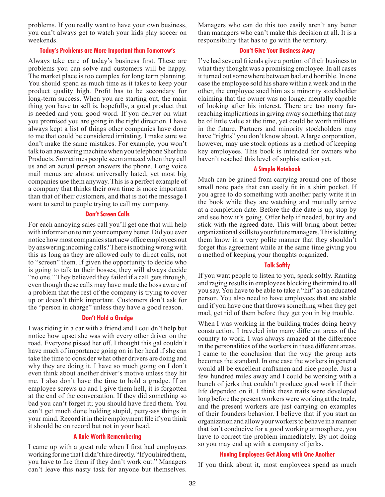problems. If you really want to have your own business, you can't always get to watch your kids play soccer on weekends.

#### **Today's Problems are More Important than Tomorrow's**

Always take care of today's business first. These are problems you can solve and customers will be happy. The market place is too complex for long term planning. You should spend as much time as it takes to keep your product quality high. Profit has to be secondary for long-term success. When you are starting out, the main thing you have to sell is, hopefully, a good product that is needed and your good word. If you deliver on what you promised you are going in the right direction. I have always kept a list of things other companies have done to me that could be considered irritating. I make sure we don't make the same mistakes. For example, you won't talk to an answering machine when you telephone Sherline Products. Sometimes people seem amazed when they call us and an actual person answers the phone. Long voice mail menus are almost universally hated, yet most big companies use them anyway. This is a perfect example of a company that thinks their own time is more important than that of their customers, and that is not the message I want to send to people trying to call my company.

#### **Don't Screen Calls**

For each annoying sales call you'll get one that will help with information to run your company better. Did you ever notice how most companies start new office employees out by answering incoming calls? There is nothing wrong with this as long as they are allowed only to direct calls, not to "screen" them. If given the opportunity to decide who is going to talk to their bosses, they will always decide "no one." They believed they failed if a call gets through, even though these calls may have made the boss aware of a problem that the rest of the company is trying to cover up or doesn't think important. Customers don't ask for the "person in charge" unless they have a good reason.

# **Don't Hold a Grudge**

I was riding in a car with a friend and I couldn't help but notice how upset she was with every other driver on the road. Everyone pissed her off. I thought this gal couldn't have much of importance going on in her head if she can take the time to consider what other drivers are doing and why they are doing it. I have so much going on I don't even think about another driver's motive unless they hit me. I also don't have the time to hold a grudge. If an employee screws up and I give them hell, it is forgotten at the end of the conversation. If they did something so bad you can't forget it; you should have fired them. You can't get much done holding stupid, petty-ass things in your mind. Record it in their employment file if you think it should be on record but not in your head.

# **A Rule Worth Remembering**

I came up with a great rule when I first had employees working for me that I didn't hire directly. "If you hired them, you have to fire them if they don't work out." Managers can't leave this nasty task for anyone but themselves. Managers who can do this too easily aren't any better than managers who can't make this decision at all. It is a responsibility that has to go with the territory.

# **Don't Give Your Business Away**

I've had several friends give a portion of their business to what they thought was a promising employee. In all cases it turned out somewhere between bad and horrible. In one case the employee sold his share within a week and in the other, the employee sued him as a minority stockholder claiming that the owner was no longer mentally capable of looking after his interest. There are too many farreaching implications in giving away something that may be of little value at the time, yet could be worth millions in the future. Partners and minority stockholders may have "rights" you don't know about. A large corporation, however, may use stock options as a method of keeping key employees. This book is intended for owners who haven't reached this level of sophistication yet.

# **A Simple Notebook**

Much can be gained from carrying around one of those small note pads that can easily fit in a shirt pocket. If you agree to do something with another party write it in the book while they are watching and mutually arrive at a completion date. Before the due date is up, stop by and see how it's going. Offer help if needed, but try and stick with the agreed date. This will bring about better organizational skills to your future managers. This is letting them know in a very polite manner that they shouldn't forget this agreement while at the same time giving you a method of keeping your thoughts organized.

# **Talk Softly**

If you want people to listen to you, speak softly. Ranting and raging results in employees blocking their mind to all you say. You have to be able to take a "hit" as an educated person. You also need to have employees that are stable and if you have one that throws something when they get mad, get rid of them before they get you in big trouble.

When I was working in the building trades doing heavy construction, I traveled into many different areas of the country to work. I was always amazed at the difference in the personalities of the workers in these different areas. I came to the conclusion that the way the group acts becomes the standard. In one case the workers in general would all be excellent craftsmen and nice people. Just a few hundred miles away and I could be working with a bunch of jerks that couldn't produce good work if their life depended on it. I think these traits were developed long before the present workers were working at the trade, and the present workers are just carrying on examples of their founders behavior. I believe that if you start an organization and allow your workers to behave in a manner that isn't conducive for a good working atmosphere, you have to correct the problem immediately. By not doing so you may end up with a company of jerks.

#### **Having Employees Get Along with One Another**

If you think about it, most employees spend as much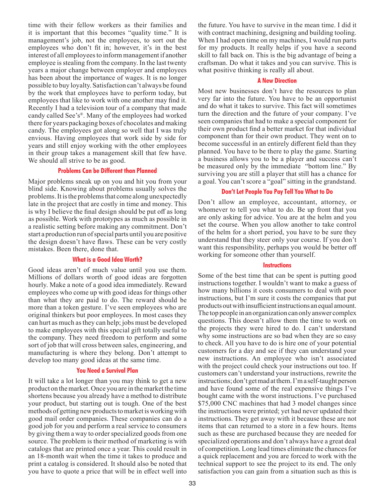time with their fellow workers as their families and it is important that this becomes "quality time." It is management's job, not the employees, to sort out the employees who don't fit in; however, it's in the best interest of all employees to inform management if another employee is stealing from the company. In the last twenty years a major change between employer and employees has been about the importance of wages. It is no longer possible to buy loyalty. Satisfaction can't always be found by the work that employees have to perform today, but employees that like to work with one another may find it. Recently I had a television tour of a company that made candy called See's®. Many of the employees had worked there for years packaging boxes of chocolates and making candy. The employees got along so well that I was truly envious. Having employees that work side by side for years and still enjoy working with the other employees in their group takes a management skill that few have. We should all strive to be as good.

# **Problems Can be Different than Planned**

Major problems sneak up on you and hit you from your blind side. Knowing about problems usually solves the problems. It is the problems that come along unexpectedly late in the project that are costly in time and money. This is why I believe the final design should be put off as long as possible. Work with prototypes as much as possible in a realistic setting before making any commitment. Don't start a production run of special parts until you are positive the design doesn't have flaws. These can be very costly mistakes. Been there, done that.

# **What is a Good Idea Worth?**

Good ideas aren't of much value until you use them. Millions of dollars worth of good ideas are forgotten hourly. Make a note of a good idea immediately. Reward employees who come up with good ideas for things other than what they are paid to do. The reward should be more than a token gesture. I've seen employees who are original thinkers but poor employees. In most cases they can hurt as much as they can help; jobs must be developed to make employees with this special gift totally useful to the company. They need freedom to perform and some sort of job that will cross between sales, engineering, and manufacturing is where they belong. Don't attempt to develop too many good ideas at the same time.

#### **You Need a Survival Plan**

It will take a lot longer than you may think to get a new product on the market. Once you are in the market the time shortens because you already have a method to distribute your product, but starting out is tough. One of the best methods of getting new products to market is working with good mail order companies. These companies can do a good job for you and perform a real service to consumers by giving them a way to order specialized goods from one source. The problem is their method of marketing is with catalogs that are printed once a year. This could result in an 18-month wait when the time it takes to produce and print a catalog is considered. It should also be noted that you have to quote a price that will be in effect well into

the future. You have to survive in the mean time. I did it with contract machining, designing and building tooling. When I had open time on my machines, I would run parts for my products. It really helps if you have a second skill to fall back on. This is the big advantage of being a craftsman. Do what it takes and you can survive. This is what positive thinking is really all about.

# **A New Direction**

Most new businesses don't have the resources to plan very far into the future. You have to be an opportunist and do what it takes to survive. This fact will sometimes turn the direction and the future of your company. I've seen companies that had to make a special component for their own product find a better market for that individual component than for their own product. They went on to become successful in an entirely different field than they planned. You have to be there to play the game. Starting a business allows you to be a player and success can't be measured only by the immediate "bottom line." By surviving you are still a player that still has a chance for a goal. You can't score a "goal" sitting in the grandstand.

#### **Don't Let People You Pay Tell You What to Do**

Don't allow an employee, accountant, attorney, or whomever to tell you what to do. Be up front that you are only asking for advice. You are at the helm and you set the course. When you allow another to take control of the helm for a short period, you have to be sure they understand that they steer only your course. If you don't want this responsibility, perhaps you would be better off working for someone other than yourself.

# **Instructions**

Some of the best time that can be spent is putting good instructions together. I wouldn't want to make a guess of how many billions it costs consumers to deal with poor instructions, but I'm sure it costs the companies that put products out with insufficient instructions an equal amount. The top people in an organization can only answer complex questions. This doesn't allow them the time to work on the projects they were hired to do. I can't understand why some instructions are so bad when they are so easy to check. All you have to do is hire one of your potential customers for a day and see if they can understand your new instructions. An employee who isn't associated with the project could check your instructions out too. If customers can't understand your instructions, rewrite the instructions; don't get mad at them. I'm a self-taught person and have found some of the real expensive things I've bought came with the worst instructions. I've purchased \$75,000 CNC machines that had 3 model changes since the instructions were printed; yet had never updated their instructions. They get away with it because these are not items that can returned to a store in a few hours. Items such as these are purchased because they are needed for specialized operations and don't always have a great deal of competition. Long lead times eliminate the chances for a quick replacement and you are forced to work with the technical support to see the project to its end. The only satisfaction you can gain from a situation such as this is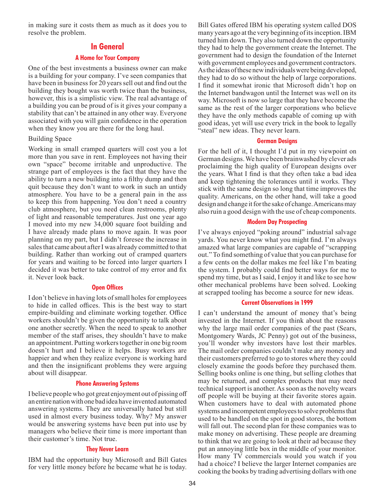<span id="page-33-0"></span>in making sure it costs them as much as it does you to resolve the problem.

# **In General**

# **A Home for Your Company**

One of the best investments a business owner can make is a building for your company. I've seen companies that have been in business for 20 years sell out and find out the building they bought was worth twice than the business, however, this is a simplistic view. The real advantage of a building you can be proud of is it gives your company a stability that can't be attained in any other way. Everyone associated with you will gain confidence in the operation when they know you are there for the long haul.

#### Building Space

Working in small cramped quarters will cost you a lot more than you save in rent. Employees not having their own "space" become irritable and unproductive. The strange part of employees is the fact that they have the ability to turn a new building into a filthy dump and then quit because they don't want to work in such an untidy atmosphere. You have to be a general pain in the ass to keep this from happening. You don't need a country club atmosphere, but you need clean restrooms, plenty of light and reasonable temperatures. Just one year ago I moved into my new 34,000 square foot building and I have already made plans to move again. It was poor planning on my part, but I didn't foresee the increase in sales that came about after I was already committed to that building. Rather than working out of cramped quarters for years and waiting to be forced into larger quarters I decided it was better to take control of my error and fix it. Never look back.

#### **Open Offices**

I don't believe in having lots of small holes for employees to hide in called offices. This is the best way to start empire-building and eliminate working together. Office workers shouldn't be given the opportunity to talk about one another secretly. When the need to speak to another member of the staff arises, they shouldn't have to make an appointment. Putting workers together in one big room doesn't hurt and I believe it helps. Busy workers are happier and when they realize everyone is working hard and then the insignificant problems they were arguing about will disappear.

# **Phone Answering Systems**

I believe people who got great enjoyment out of pissing off an entire nation with one bad idea have invented automated answering systems. They are universally hated but still used in almost every business today. Why? My answer would be answering systems have been put into use by managers who believe their time is more important than their customer's time. Not true.

#### **They Never Learn**

IBM had the opportunity buy Microsoft and Bill Gates for very little money before he became what he is today. Bill Gates offered IBM his operating system called DOS many years ago at the very beginning of its inception. IBM turned him down. They also turned down the opportunity they had to help the government create the Internet. The government had to design the foundation of the Internet with government employees and government contractors. As the ideas of these new individuals were being developed, they had to do so without the help of large corporations. I find it somewhat ironic that Microsoft didn't hop on the Internet bandwagon until the Internet was well on its way. Microsoft is now so large that they have become the same as the rest of the larger corporations who believe they have the only methods capable of coming up with good ideas, yet will use every trick in the book to legally "steal" new ideas. They never learn.

#### **German Designs**

For the hell of it, I thought I'd put in my viewpoint on German designs. We have been brainwashed by clever ads proclaiming the high quality of European designs over the years. What I find is that they often take a bad idea and keep tightening the tolerances until it works. They stick with the same design so long that time improves the quality. Americans, on the other hand, will take a good design and change it for the sake of change. Americans may also ruin a good design with the use of cheap components.

# **Modern Day Prospecting**

I've always enjoyed "poking around" industrial salvage yards. You never know what you might find. I'm always amazed what large companies are capable of "scrapping out." To find something of value that you can purchase for a few cents on the dollar makes me feel like I'm beating the system. I probably could find better ways for me to spend my time, but as I said, I enjoy it and like to see how other mechanical problems have been solved. Looking at scrapped tooling has become a source for new ideas.

#### **Current Observations in 1999**

I can't understand the amount of money that's being invested in the Internet. If you think about the reasons why the large mail order companies of the past (Sears, Montgomery Wards, JC Penny) got out of the business, you'll wonder why investors have lost their marbles. The mail order companies couldn't make any money and their customers preferred to go to stores where they could closely examine the goods before they purchased them. Selling books online is one thing, but selling clothes that may be returned, and complex products that may need technical support is another. As soon as the novelty wears off people will be buying at their favorite stores again. When customers have to deal with automated phone systems and incompetent employees to solve problems that used to be handled on the spot in good stores, the bottom will fall out. The second plan for these companies was to make money on advertising. These people are dreaming to think that we are going to look at their ad because they put an annoying little box in the middle of your monitor. How many TV commercials would you watch if you had a choice? I believe the larger Internet companies are cooking the books by trading advertising dollars with one